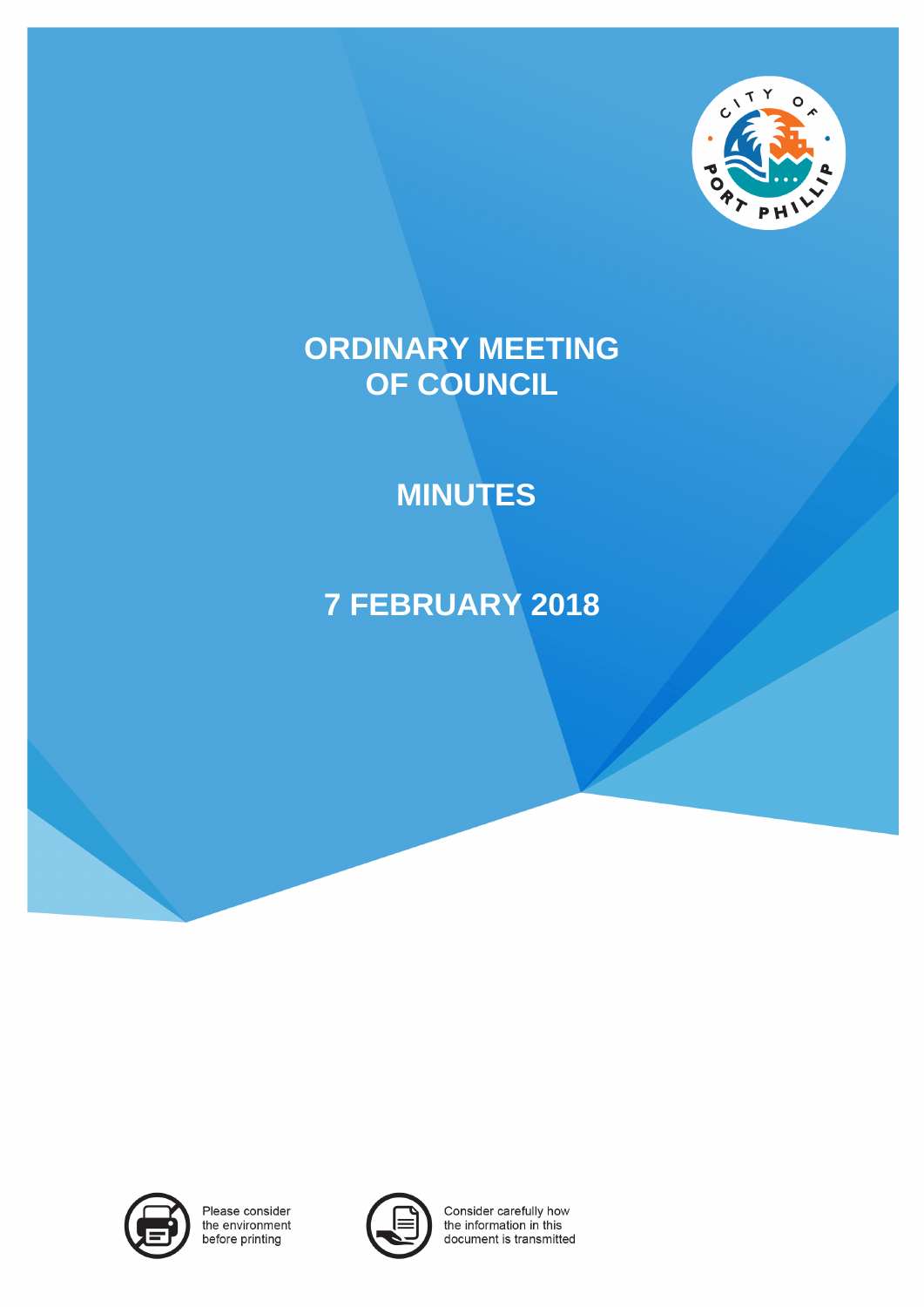

# **ORDINARY MEETING OF COUNCIL**

# **MINUTES**

# **7 FEBRUARY 2018**



Please consider the environment before printing



Consider carefully how the information in this document is transmitted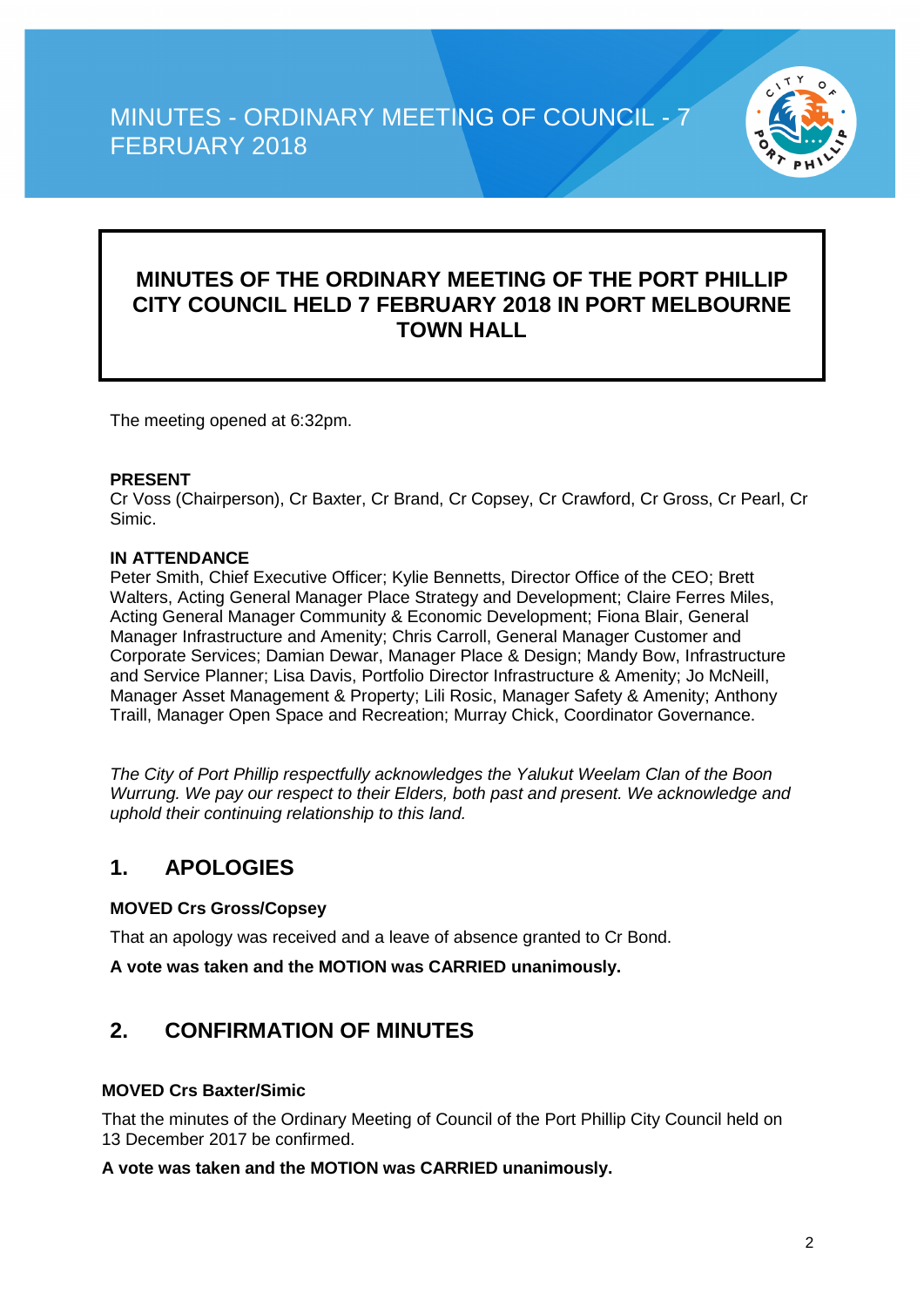

### **MINUTES OF THE ORDINARY MEETING OF THE PORT PHILLIP CITY COUNCIL HELD 7 FEBRUARY 2018 IN PORT MELBOURNE TOWN HALL**

The meeting opened at 6:32pm.

#### **PRESENT**

Cr Voss (Chairperson), Cr Baxter, Cr Brand, Cr Copsey, Cr Crawford, Cr Gross, Cr Pearl, Cr Simic.

#### **IN ATTENDANCE**

Peter Smith, Chief Executive Officer; Kylie Bennetts, Director Office of the CEO; Brett Walters, Acting General Manager Place Strategy and Development; Claire Ferres Miles, Acting General Manager Community & Economic Development; Fiona Blair, General Manager Infrastructure and Amenity; Chris Carroll, General Manager Customer and Corporate Services; Damian Dewar, Manager Place & Design; Mandy Bow, Infrastructure and Service Planner; Lisa Davis, Portfolio Director Infrastructure & Amenity; Jo McNeill, Manager Asset Management & Property; Lili Rosic, Manager Safety & Amenity; Anthony Traill, Manager Open Space and Recreation; Murray Chick, Coordinator Governance.

*The City of Port Phillip respectfully acknowledges the Yalukut Weelam Clan of the Boon Wurrung. We pay our respect to their Elders, both past and present. We acknowledge and uphold their continuing relationship to this land.*

### **1. APOLOGIES**

#### **MOVED Crs Gross/Copsey**

That an apology was received and a leave of absence granted to Cr Bond.

**A vote was taken and the MOTION was CARRIED unanimously.**

### **2. CONFIRMATION OF MINUTES**

#### **MOVED Crs Baxter/Simic**

That the minutes of the Ordinary Meeting of Council of the Port Phillip City Council held on 13 December 2017 be confirmed.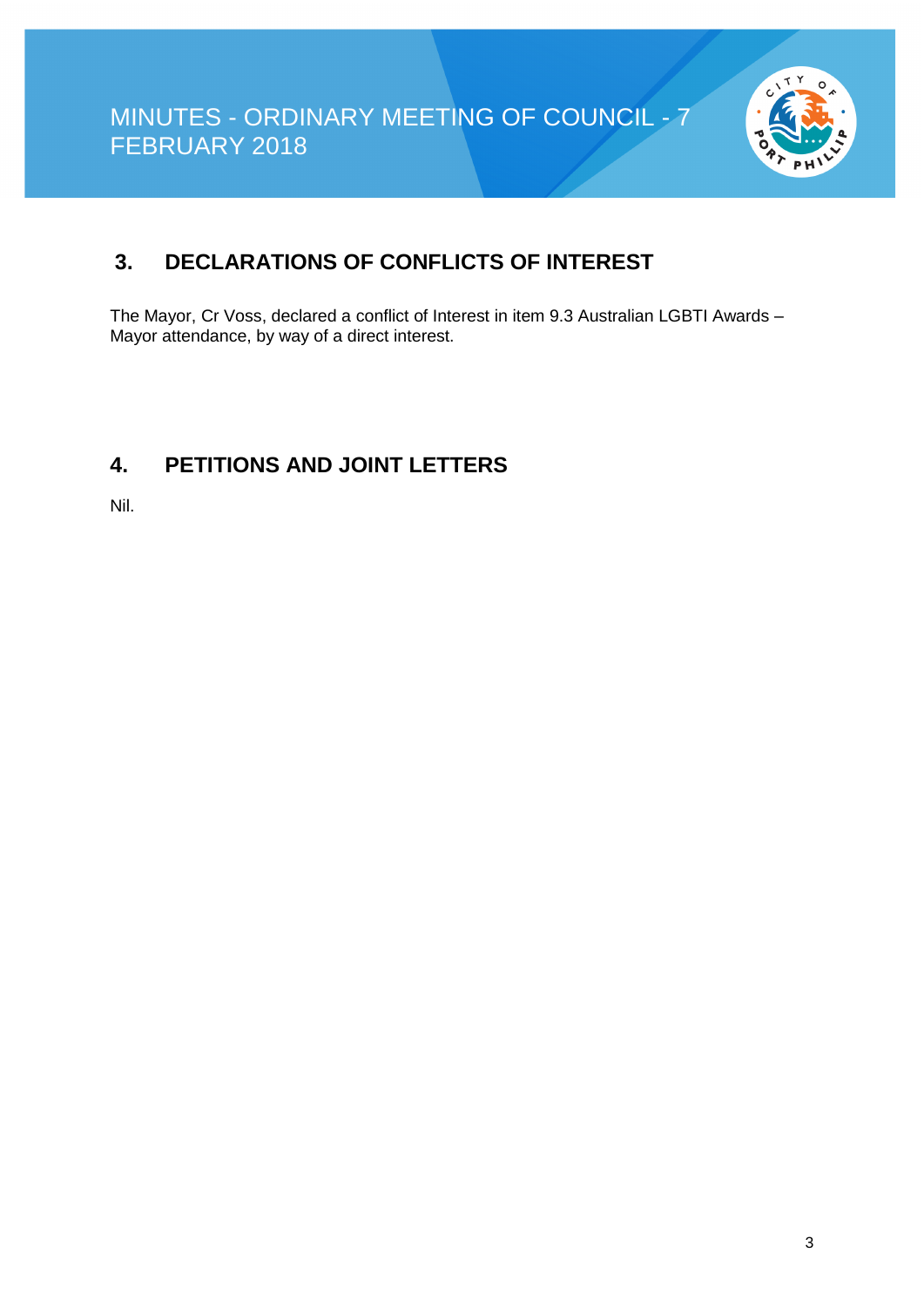

### **3. DECLARATIONS OF CONFLICTS OF INTEREST**

The Mayor, Cr Voss, declared a conflict of Interest in item 9.3 Australian LGBTI Awards – Mayor attendance, by way of a direct interest.

### **4. PETITIONS AND JOINT LETTERS**

Nil.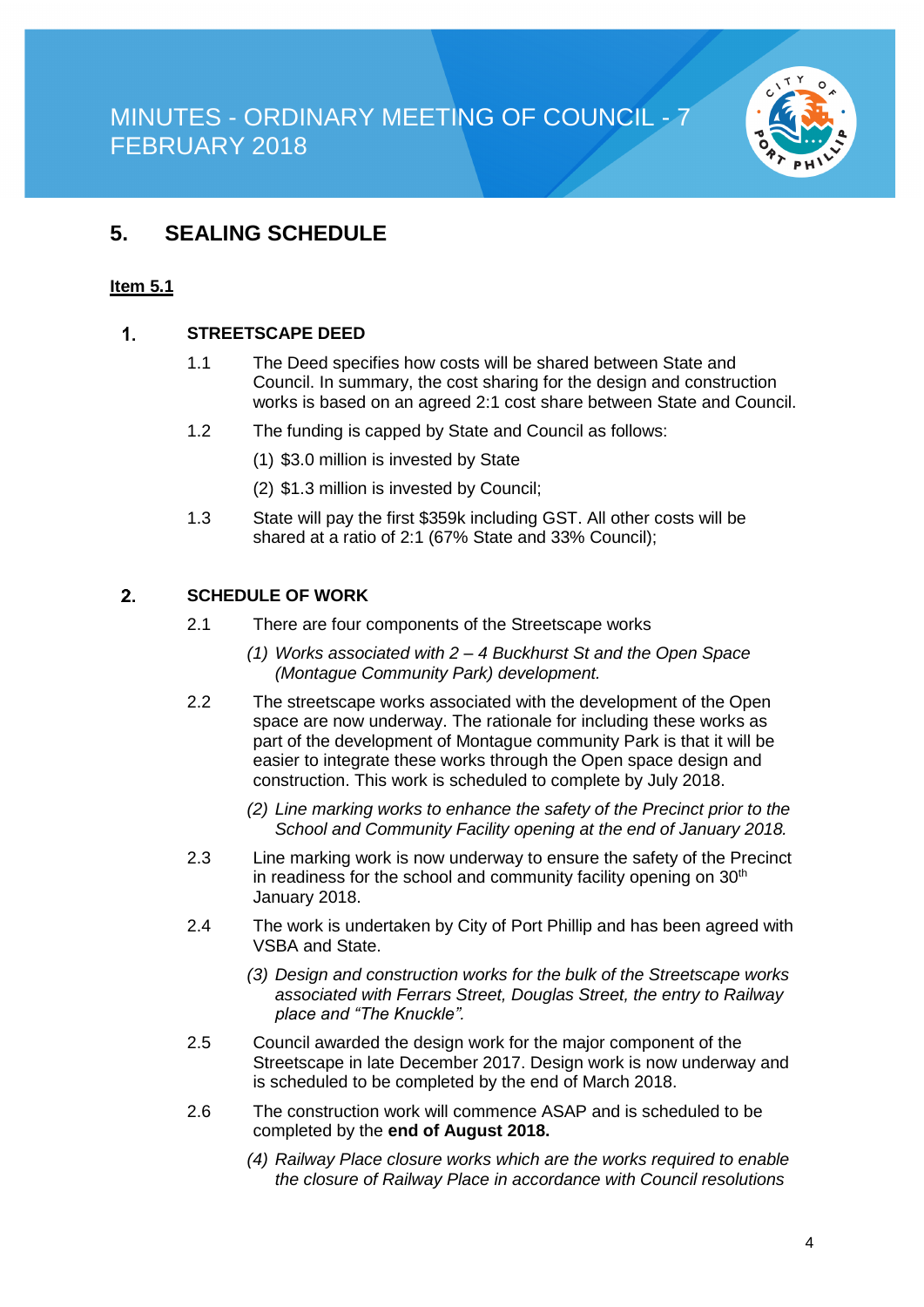

### **5. SEALING SCHEDULE**

#### **Item 5.1**

#### $\mathbf{1}$ **STREETSCAPE DEED**

- 1.1 The Deed specifies how costs will be shared between State and Council. In summary, the cost sharing for the design and construction works is based on an agreed 2:1 cost share between State and Council.
- 1.2 The funding is capped by State and Council as follows:
	- (1) \$3.0 million is invested by State
	- (2) \$1.3 million is invested by Council;
- 1.3 State will pay the first \$359k including GST. All other costs will be shared at a ratio of 2:1 (67% State and 33% Council);

#### $2<sub>1</sub>$ **SCHEDULE OF WORK**

- 2.1 There are four components of the Streetscape works
	- *(1) Works associated with 2 – 4 Buckhurst St and the Open Space (Montague Community Park) development.*
- 2.2 The streetscape works associated with the development of the Open space are now underway. The rationale for including these works as part of the development of Montague community Park is that it will be easier to integrate these works through the Open space design and construction. This work is scheduled to complete by July 2018.
	- *(2) Line marking works to enhance the safety of the Precinct prior to the School and Community Facility opening at the end of January 2018.*
- 2.3 Line marking work is now underway to ensure the safety of the Precinct in readiness for the school and community facility opening on  $30<sup>th</sup>$ January 2018.
- 2.4 The work is undertaken by City of Port Phillip and has been agreed with VSBA and State.
	- *(3) Design and construction works for the bulk of the Streetscape works associated with Ferrars Street, Douglas Street, the entry to Railway place and "The Knuckle".*
- 2.5 Council awarded the design work for the major component of the Streetscape in late December 2017. Design work is now underway and is scheduled to be completed by the end of March 2018.
- 2.6 The construction work will commence ASAP and is scheduled to be completed by the **end of August 2018.**
	- *(4) Railway Place closure works which are the works required to enable the closure of Railway Place in accordance with Council resolutions*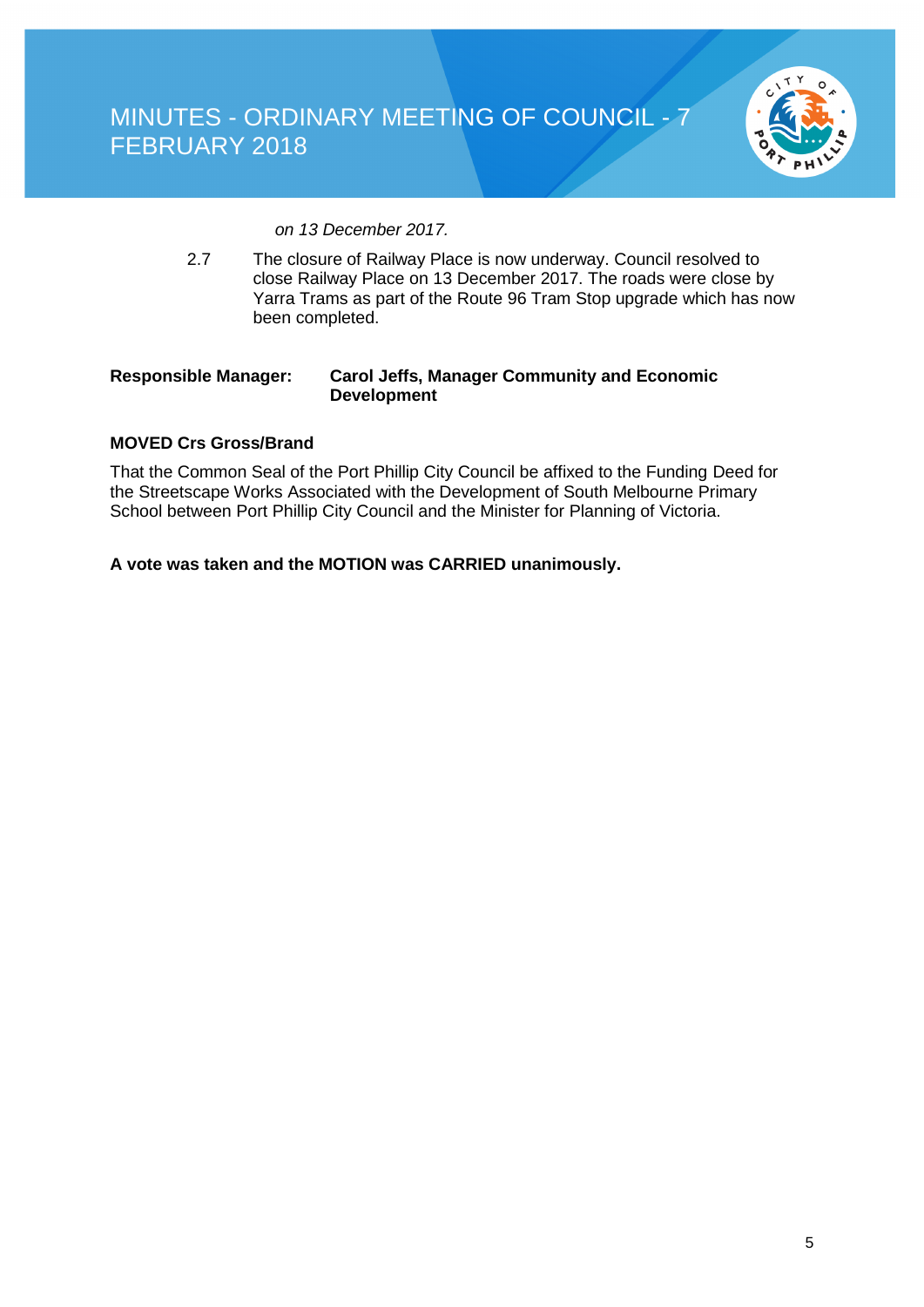

*on 13 December 2017.*

2.7 The closure of Railway Place is now underway. Council resolved to close Railway Place on 13 December 2017. The roads were close by Yarra Trams as part of the Route 96 Tram Stop upgrade which has now been completed.

#### **Responsible Manager: Carol Jeffs, Manager Community and Economic Development**

#### **MOVED Crs Gross/Brand**

That the Common Seal of the Port Phillip City Council be affixed to the Funding Deed for the Streetscape Works Associated with the Development of South Melbourne Primary School between Port Phillip City Council and the Minister for Planning of Victoria.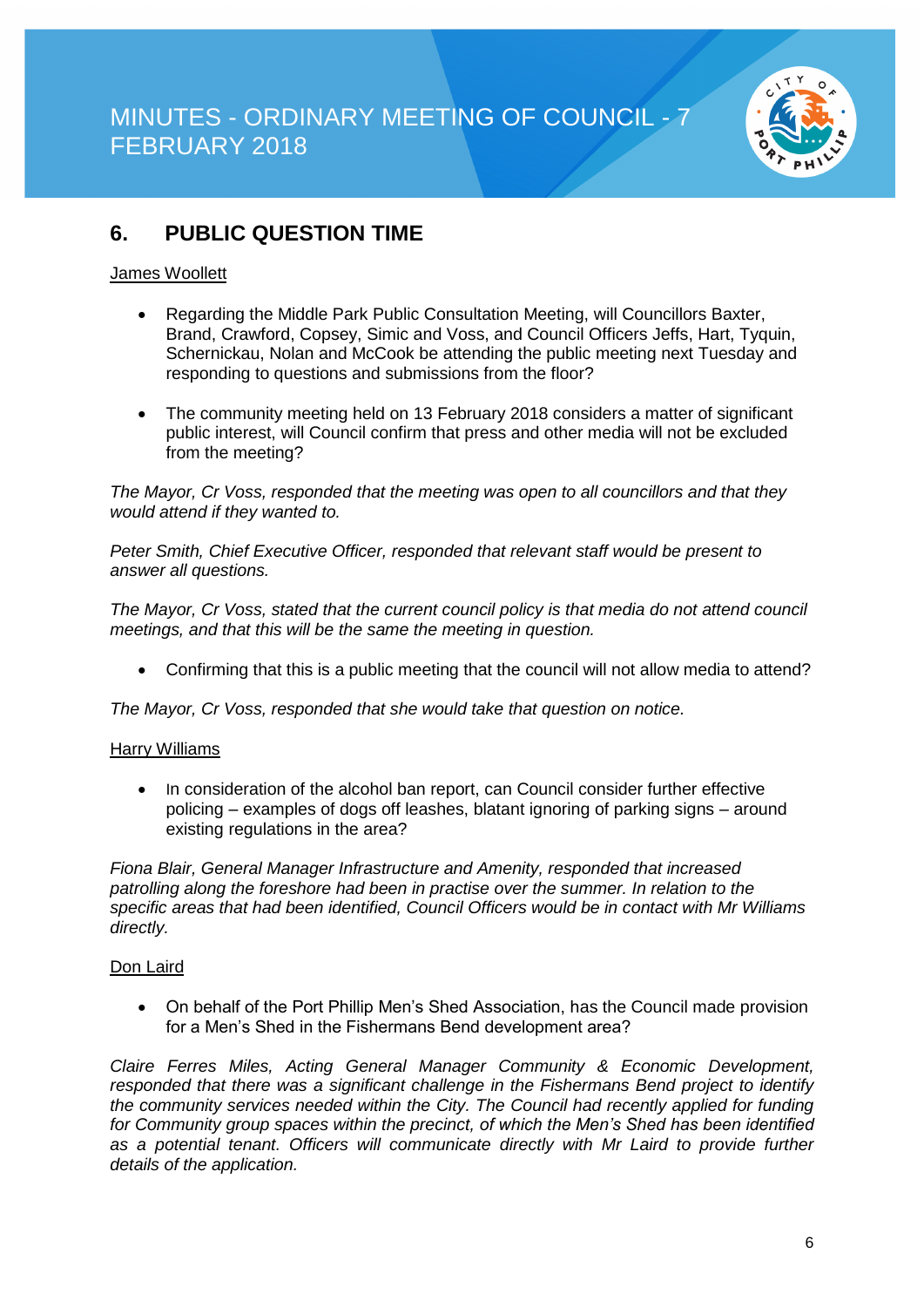

### **6. PUBLIC QUESTION TIME**

#### James Woollett

- Regarding the Middle Park Public Consultation Meeting, will Councillors Baxter, Brand, Crawford, Copsey, Simic and Voss, and Council Officers Jeffs, Hart, Tyquin, Schernickau, Nolan and McCook be attending the public meeting next Tuesday and responding to questions and submissions from the floor?
- The community meeting held on 13 February 2018 considers a matter of significant public interest, will Council confirm that press and other media will not be excluded from the meeting?

*The Mayor, Cr Voss, responded that the meeting was open to all councillors and that they would attend if they wanted to.*

*Peter Smith, Chief Executive Officer, responded that relevant staff would be present to answer all questions.*

*The Mayor, Cr Voss, stated that the current council policy is that media do not attend council meetings, and that this will be the same the meeting in question.*

• Confirming that this is a public meeting that the council will not allow media to attend?

*The Mayor, Cr Voss, responded that she would take that question on notice.*

#### Harry Williams

• In consideration of the alcohol ban report, can Council consider further effective policing – examples of dogs off leashes, blatant ignoring of parking signs – around existing regulations in the area?

*Fiona Blair, General Manager Infrastructure and Amenity, responded that increased patrolling along the foreshore had been in practise over the summer. In relation to the specific areas that had been identified, Council Officers would be in contact with Mr Williams directly.*

#### Don Laird

• On behalf of the Port Phillip Men's Shed Association, has the Council made provision for a Men's Shed in the Fishermans Bend development area?

*Claire Ferres Miles, Acting General Manager Community & Economic Development, responded that there was a significant challenge in the Fishermans Bend project to identify the community services needed within the City. The Council had recently applied for funding for Community group spaces within the precinct, of which the Men's Shed has been identified as a potential tenant. Officers will communicate directly with Mr Laird to provide further details of the application.*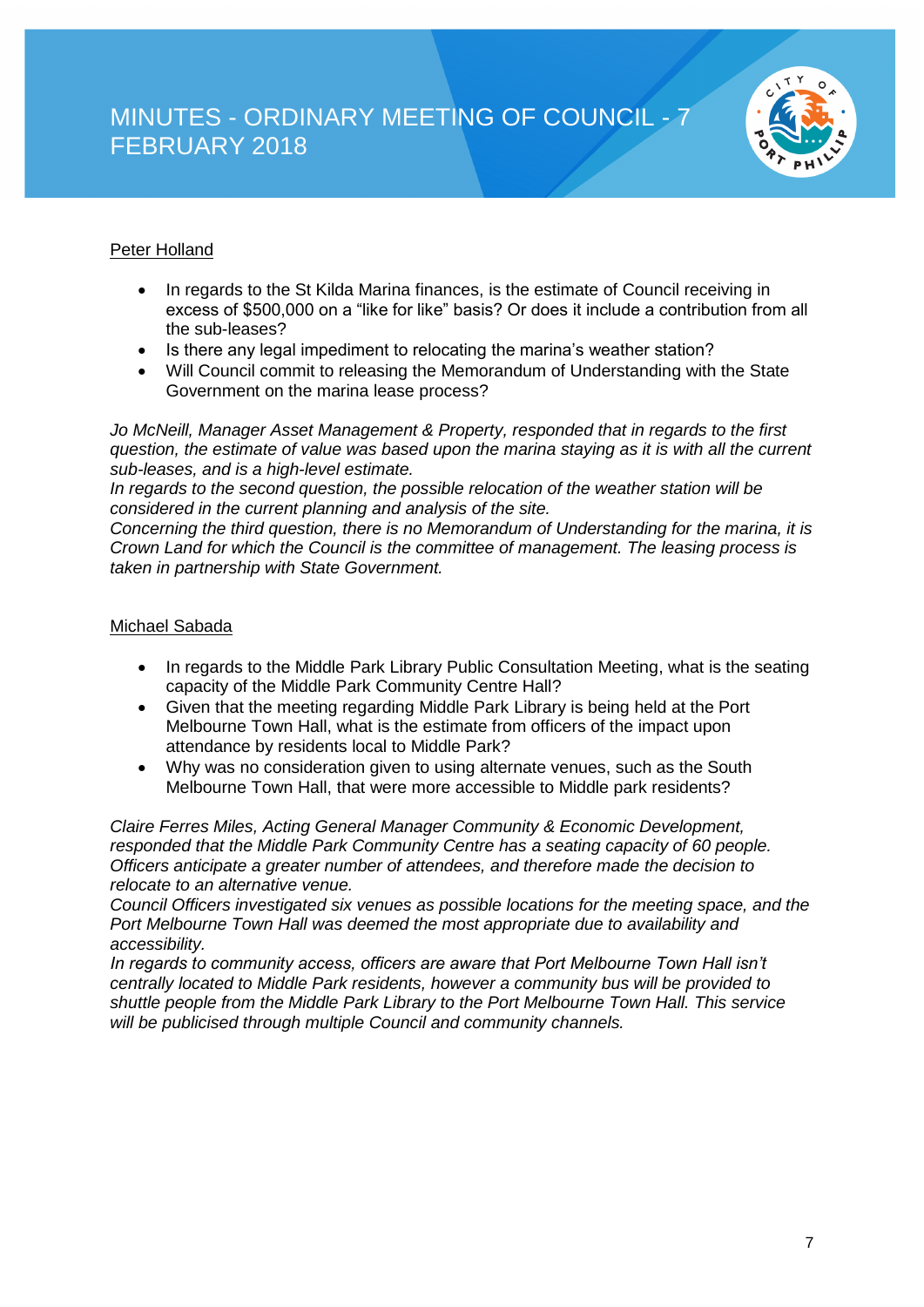

### Peter Holland

- In regards to the St Kilda Marina finances, is the estimate of Council receiving in excess of \$500,000 on a "like for like" basis? Or does it include a contribution from all the sub-leases?
- Is there any legal impediment to relocating the marina's weather station?
- Will Council commit to releasing the Memorandum of Understanding with the State Government on the marina lease process?

*Jo McNeill, Manager Asset Management & Property, responded that in regards to the first question, the estimate of value was based upon the marina staying as it is with all the current sub-leases, and is a high-level estimate.*

*In regards to the second question, the possible relocation of the weather station will be considered in the current planning and analysis of the site.*

*Concerning the third question, there is no Memorandum of Understanding for the marina, it is Crown Land for which the Council is the committee of management. The leasing process is taken in partnership with State Government.*

#### Michael Sabada

- In regards to the Middle Park Library Public Consultation Meeting, what is the seating capacity of the Middle Park Community Centre Hall?
- Given that the meeting regarding Middle Park Library is being held at the Port Melbourne Town Hall, what is the estimate from officers of the impact upon attendance by residents local to Middle Park?
- Why was no consideration given to using alternate venues, such as the South Melbourne Town Hall, that were more accessible to Middle park residents?

*Claire Ferres Miles, Acting General Manager Community & Economic Development, responded that the Middle Park Community Centre has a seating capacity of 60 people. Officers anticipate a greater number of attendees, and therefore made the decision to relocate to an alternative venue.*

*Council Officers investigated six venues as possible locations for the meeting space, and the Port Melbourne Town Hall was deemed the most appropriate due to availability and accessibility.*

*In regards to community access, officers are aware that Port Melbourne Town Hall isn't centrally located to Middle Park residents, however a community bus will be provided to shuttle people from the Middle Park Library to the Port Melbourne Town Hall. This service will be publicised through multiple Council and community channels.*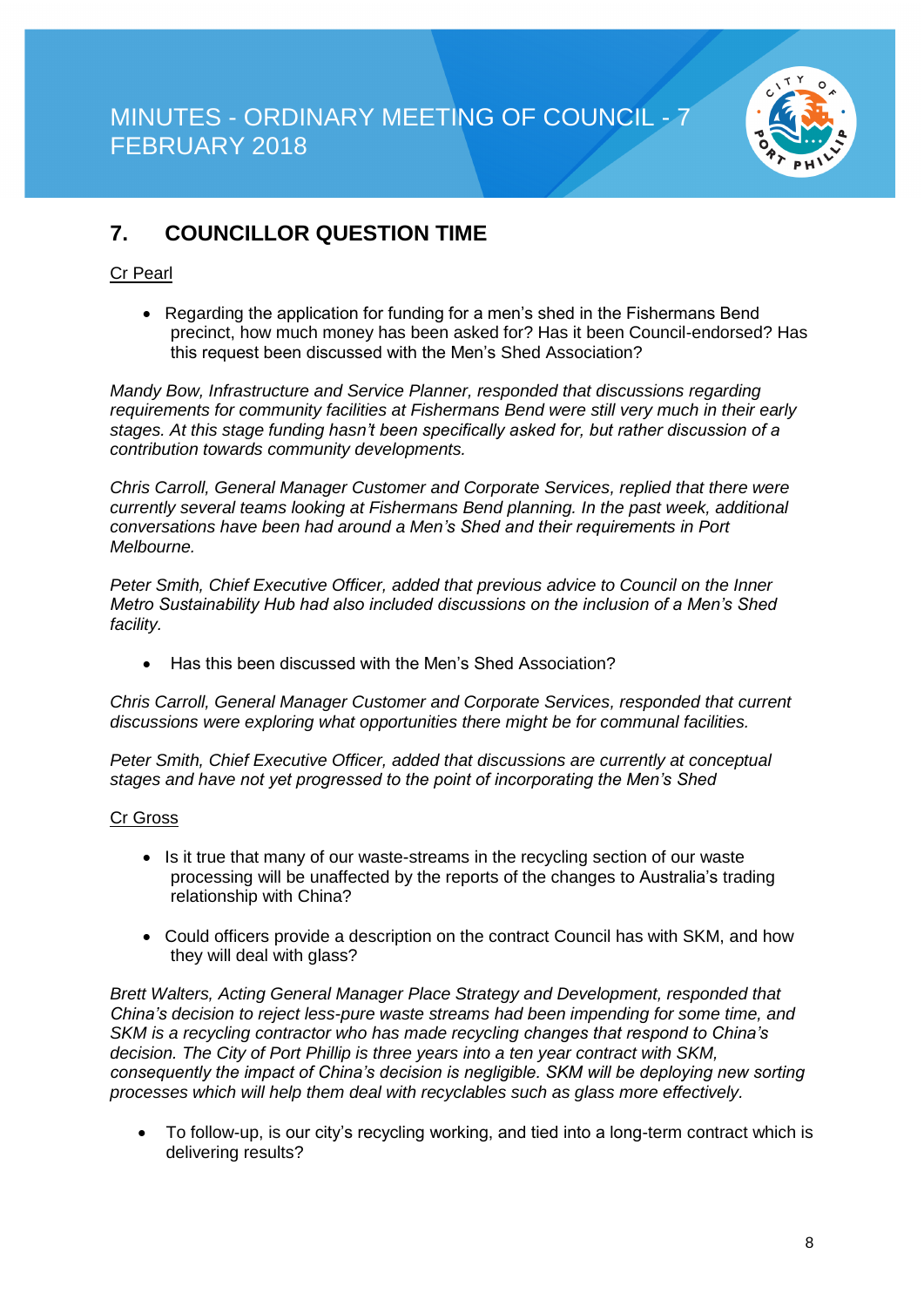

### **7. COUNCILLOR QUESTION TIME**

#### Cr Pearl

• Regarding the application for funding for a men's shed in the Fishermans Bend precinct, how much money has been asked for? Has it been Council-endorsed? Has this request been discussed with the Men's Shed Association?

*Mandy Bow, Infrastructure and Service Planner, responded that discussions regarding requirements for community facilities at Fishermans Bend were still very much in their early stages. At this stage funding hasn't been specifically asked for, but rather discussion of a contribution towards community developments.*

*Chris Carroll, General Manager Customer and Corporate Services, replied that there were currently several teams looking at Fishermans Bend planning. In the past week, additional conversations have been had around a Men's Shed and their requirements in Port Melbourne.*

*Peter Smith, Chief Executive Officer, added that previous advice to Council on the Inner Metro Sustainability Hub had also included discussions on the inclusion of a Men's Shed facility.*

• Has this been discussed with the Men's Shed Association?

*Chris Carroll, General Manager Customer and Corporate Services, responded that current discussions were exploring what opportunities there might be for communal facilities.*

*Peter Smith, Chief Executive Officer, added that discussions are currently at conceptual stages and have not yet progressed to the point of incorporating the Men's Shed* 

#### Cr Gross

- Is it true that many of our waste-streams in the recycling section of our waste processing will be unaffected by the reports of the changes to Australia's trading relationship with China?
- Could officers provide a description on the contract Council has with SKM, and how they will deal with glass?

*Brett Walters, Acting General Manager Place Strategy and Development, responded that China's decision to reject less-pure waste streams had been impending for some time, and SKM is a recycling contractor who has made recycling changes that respond to China's decision. The City of Port Phillip is three years into a ten year contract with SKM, consequently the impact of China's decision is negligible. SKM will be deploying new sorting processes which will help them deal with recyclables such as glass more effectively.*

• To follow-up, is our city's recycling working, and tied into a long-term contract which is delivering results?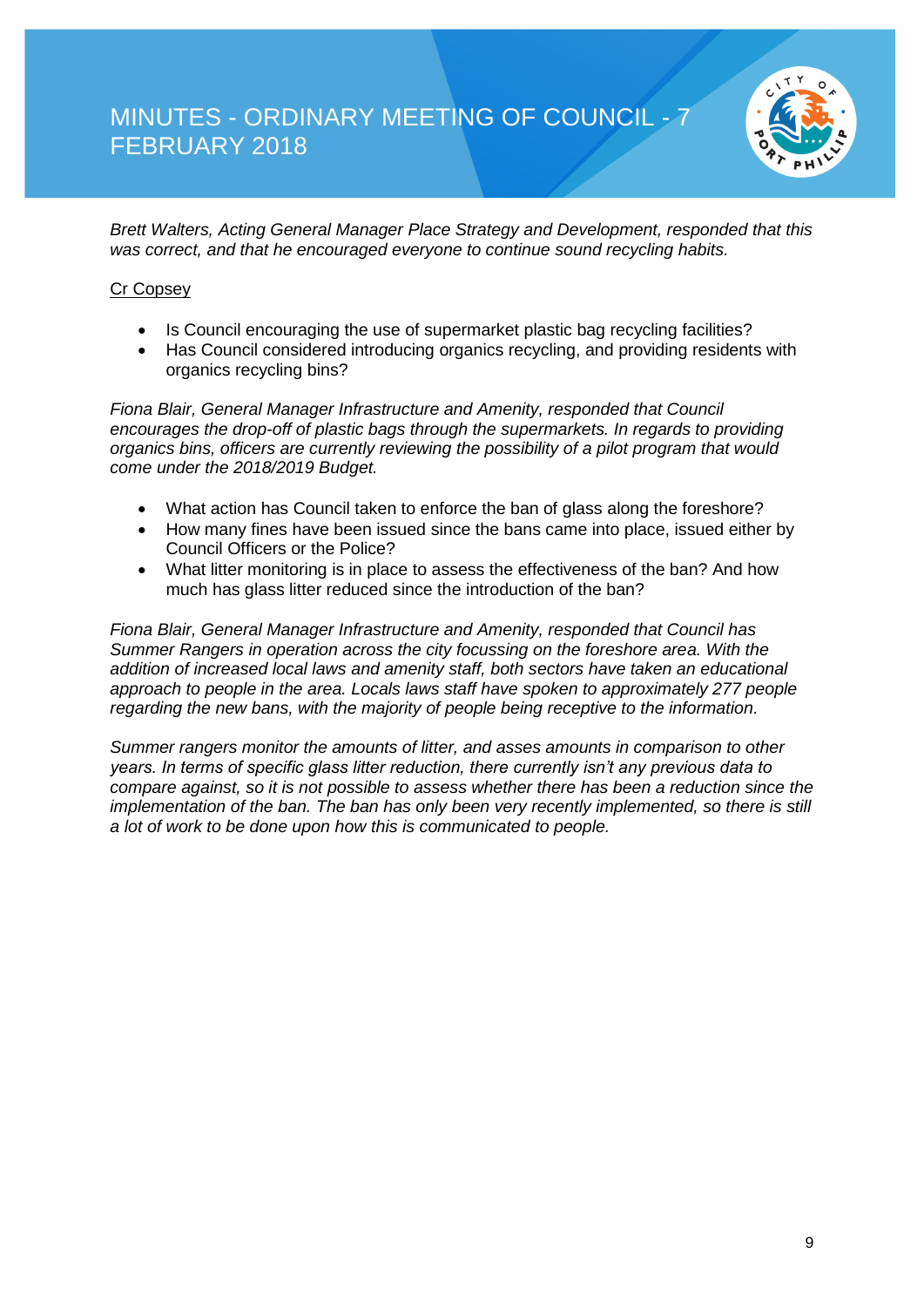

*Brett Walters, Acting General Manager Place Strategy and Development, responded that this was correct, and that he encouraged everyone to continue sound recycling habits.*

#### Cr Copsey

- Is Council encouraging the use of supermarket plastic bag recycling facilities?
- Has Council considered introducing organics recycling, and providing residents with organics recycling bins?

*Fiona Blair, General Manager Infrastructure and Amenity, responded that Council encourages the drop-off of plastic bags through the supermarkets. In regards to providing organics bins, officers are currently reviewing the possibility of a pilot program that would come under the 2018/2019 Budget.*

- What action has Council taken to enforce the ban of glass along the foreshore?
- How many fines have been issued since the bans came into place, issued either by Council Officers or the Police?
- What litter monitoring is in place to assess the effectiveness of the ban? And how much has glass litter reduced since the introduction of the ban?

*Fiona Blair, General Manager Infrastructure and Amenity, responded that Council has Summer Rangers in operation across the city focussing on the foreshore area. With the addition of increased local laws and amenity staff, both sectors have taken an educational approach to people in the area. Locals laws staff have spoken to approximately 277 people regarding the new bans, with the majority of people being receptive to the information.*

*Summer rangers monitor the amounts of litter, and asses amounts in comparison to other years. In terms of specific glass litter reduction, there currently isn't any previous data to compare against, so it is not possible to assess whether there has been a reduction since the implementation of the ban. The ban has only been very recently implemented, so there is still a lot of work to be done upon how this is communicated to people.*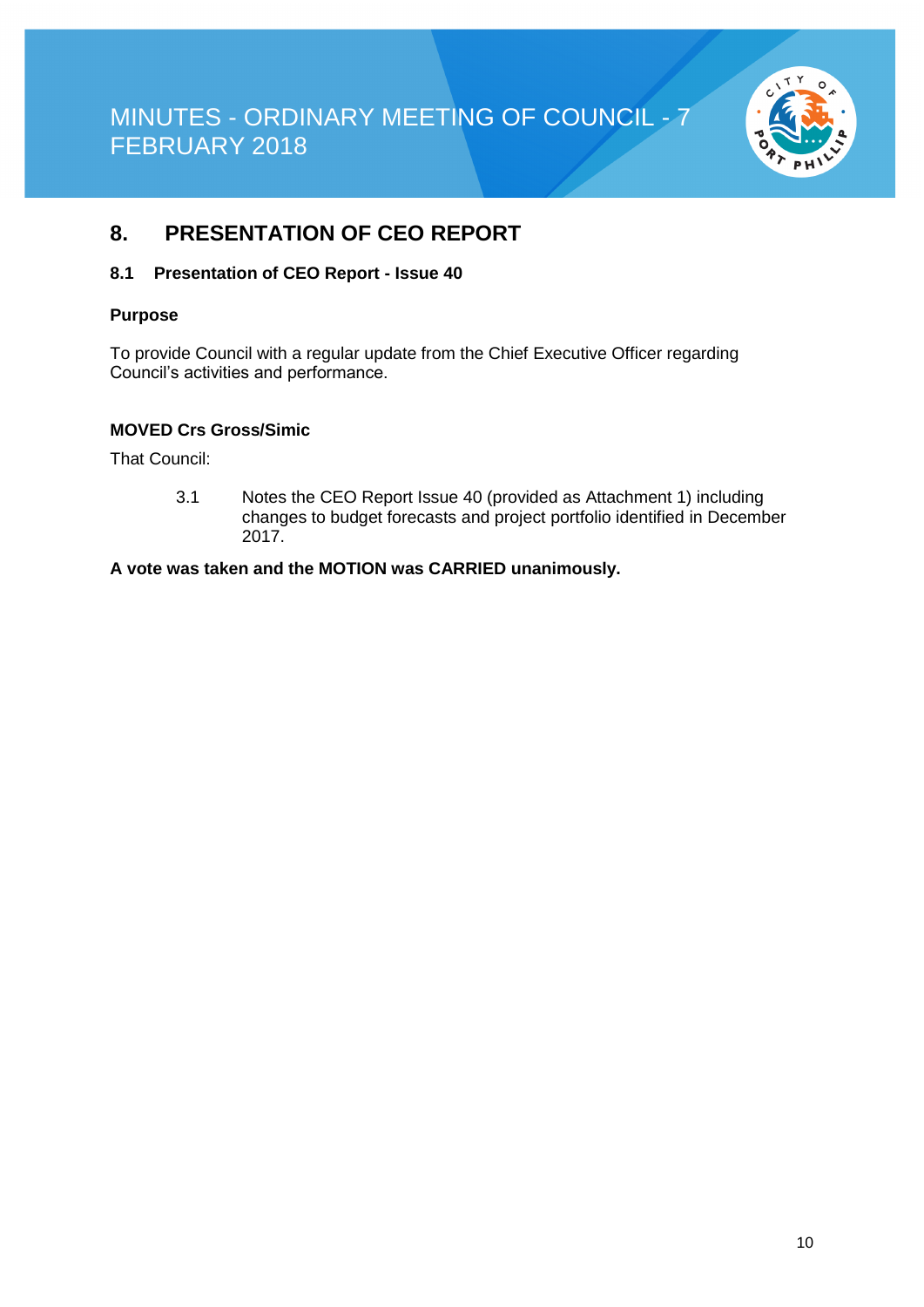

### **8. PRESENTATION OF CEO REPORT**

#### **8.1 Presentation of CEO Report - Issue 40**

#### **Purpose**

To provide Council with a regular update from the Chief Executive Officer regarding Council's activities and performance.

#### **MOVED Crs Gross/Simic**

That Council:

3.1 Notes the CEO Report Issue 40 (provided as Attachment 1) including changes to budget forecasts and project portfolio identified in December 2017.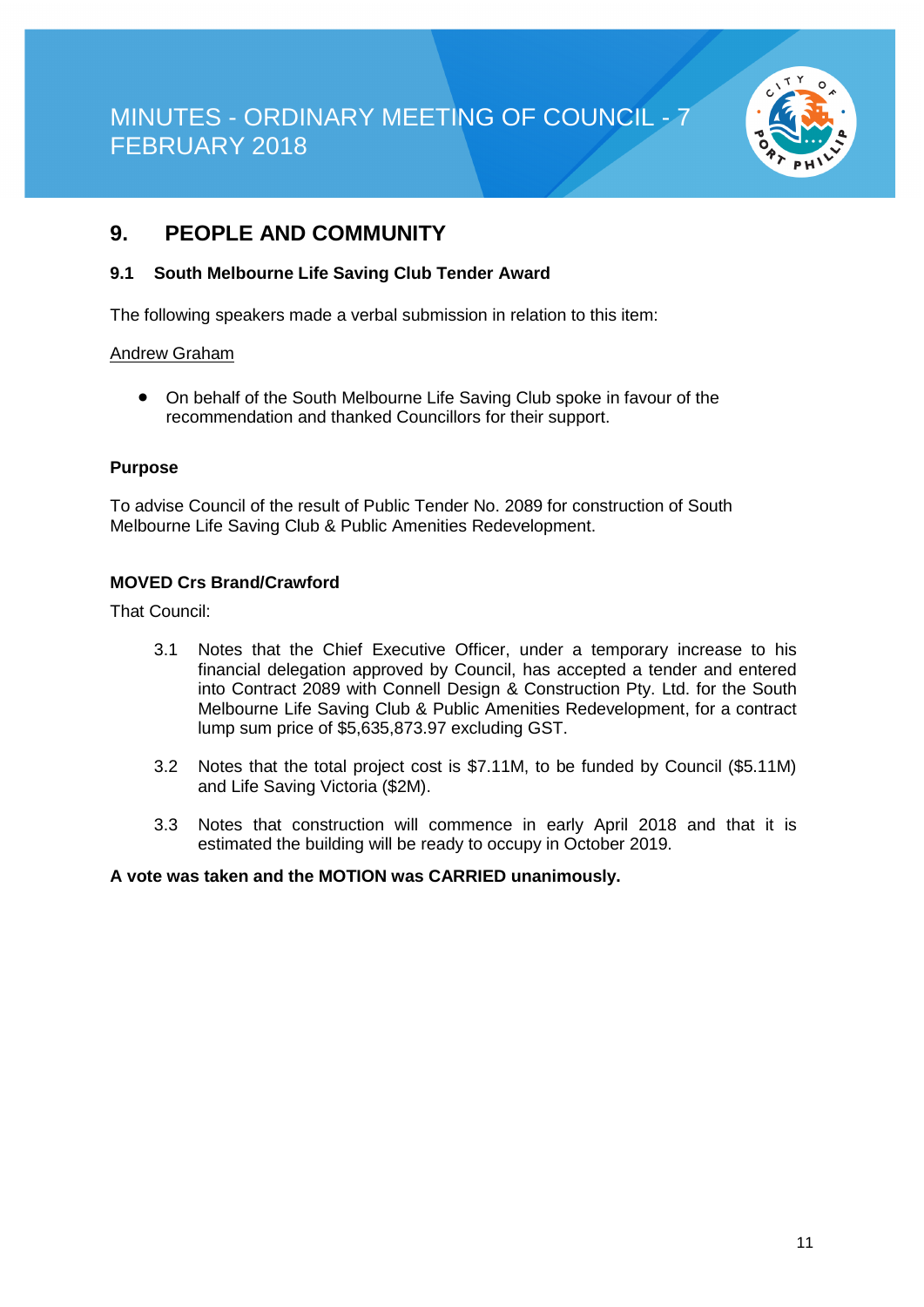

### **9. PEOPLE AND COMMUNITY**

#### **9.1 South Melbourne Life Saving Club Tender Award**

The following speakers made a verbal submission in relation to this item:

#### Andrew Graham

• On behalf of the South Melbourne Life Saving Club spoke in favour of the recommendation and thanked Councillors for their support.

#### **Purpose**

To advise Council of the result of Public Tender No. 2089 for construction of South Melbourne Life Saving Club & Public Amenities Redevelopment.

#### **MOVED Crs Brand/Crawford**

That Council:

- 3.1 Notes that the Chief Executive Officer, under a temporary increase to his financial delegation approved by Council, has accepted a tender and entered into Contract 2089 with Connell Design & Construction Pty. Ltd. for the South Melbourne Life Saving Club & Public Amenities Redevelopment, for a contract lump sum price of \$5,635,873.97 excluding GST.
- 3.2 Notes that the total project cost is \$7.11M, to be funded by Council (\$5.11M) and Life Saving Victoria (\$2M).
- 3.3 Notes that construction will commence in early April 2018 and that it is estimated the building will be ready to occupy in October 2019.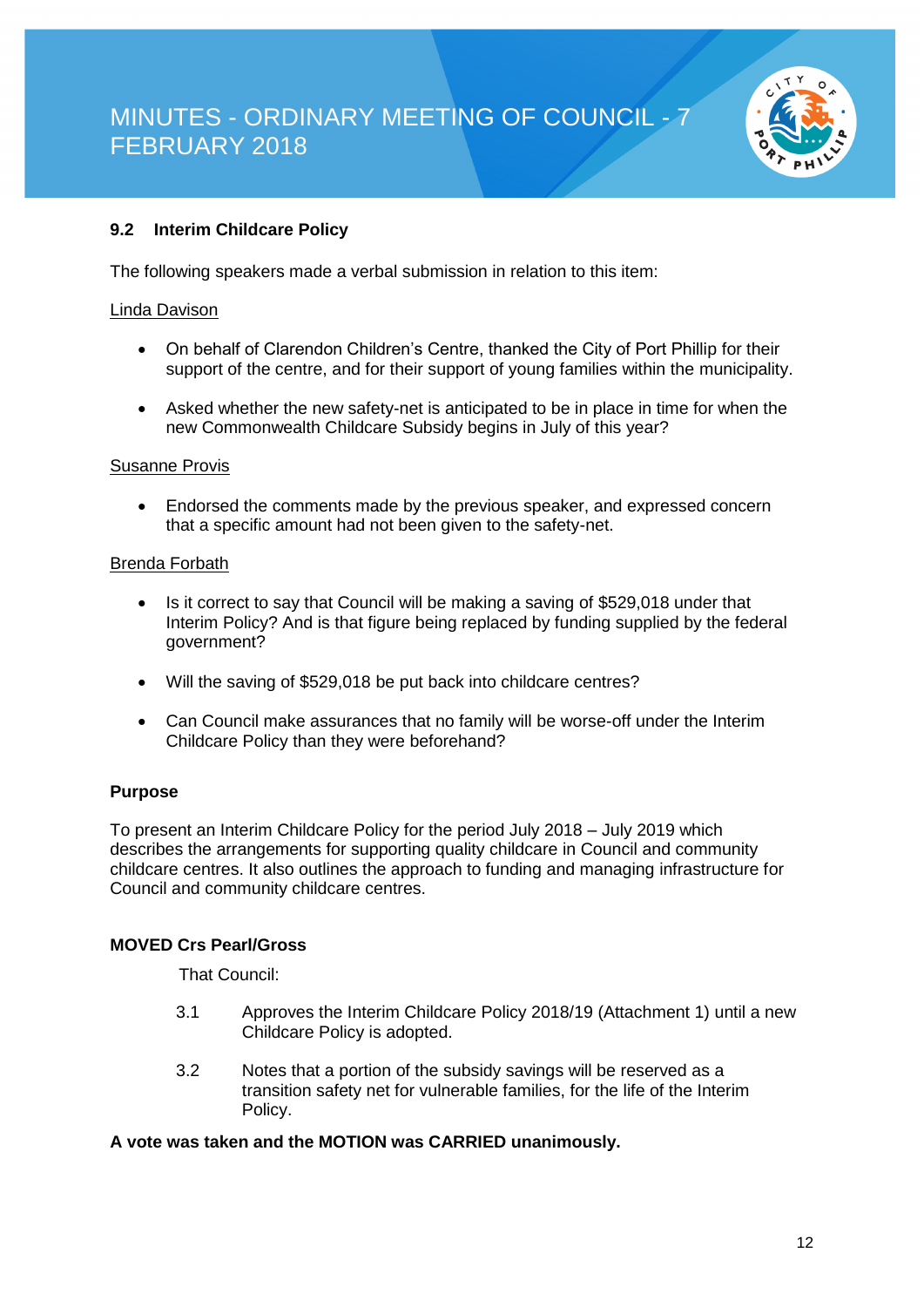

### **9.2 Interim Childcare Policy**

The following speakers made a verbal submission in relation to this item:

#### Linda Davison

- On behalf of Clarendon Children's Centre, thanked the City of Port Phillip for their support of the centre, and for their support of young families within the municipality.
- Asked whether the new safety-net is anticipated to be in place in time for when the new Commonwealth Childcare Subsidy begins in July of this year?

#### Susanne Provis

• Endorsed the comments made by the previous speaker, and expressed concern that a specific amount had not been given to the safety-net.

#### Brenda Forbath

- Is it correct to say that Council will be making a saving of \$529,018 under that Interim Policy? And is that figure being replaced by funding supplied by the federal government?
- Will the saving of \$529,018 be put back into childcare centres?
- Can Council make assurances that no family will be worse-off under the Interim Childcare Policy than they were beforehand?

#### **Purpose**

To present an Interim Childcare Policy for the period July 2018 – July 2019 which describes the arrangements for supporting quality childcare in Council and community childcare centres. It also outlines the approach to funding and managing infrastructure for Council and community childcare centres.

#### **MOVED Crs Pearl/Gross**

That Council:

- 3.1 Approves the Interim Childcare Policy 2018/19 (Attachment 1) until a new Childcare Policy is adopted.
- 3.2 Notes that a portion of the subsidy savings will be reserved as a transition safety net for vulnerable families, for the life of the Interim Policy.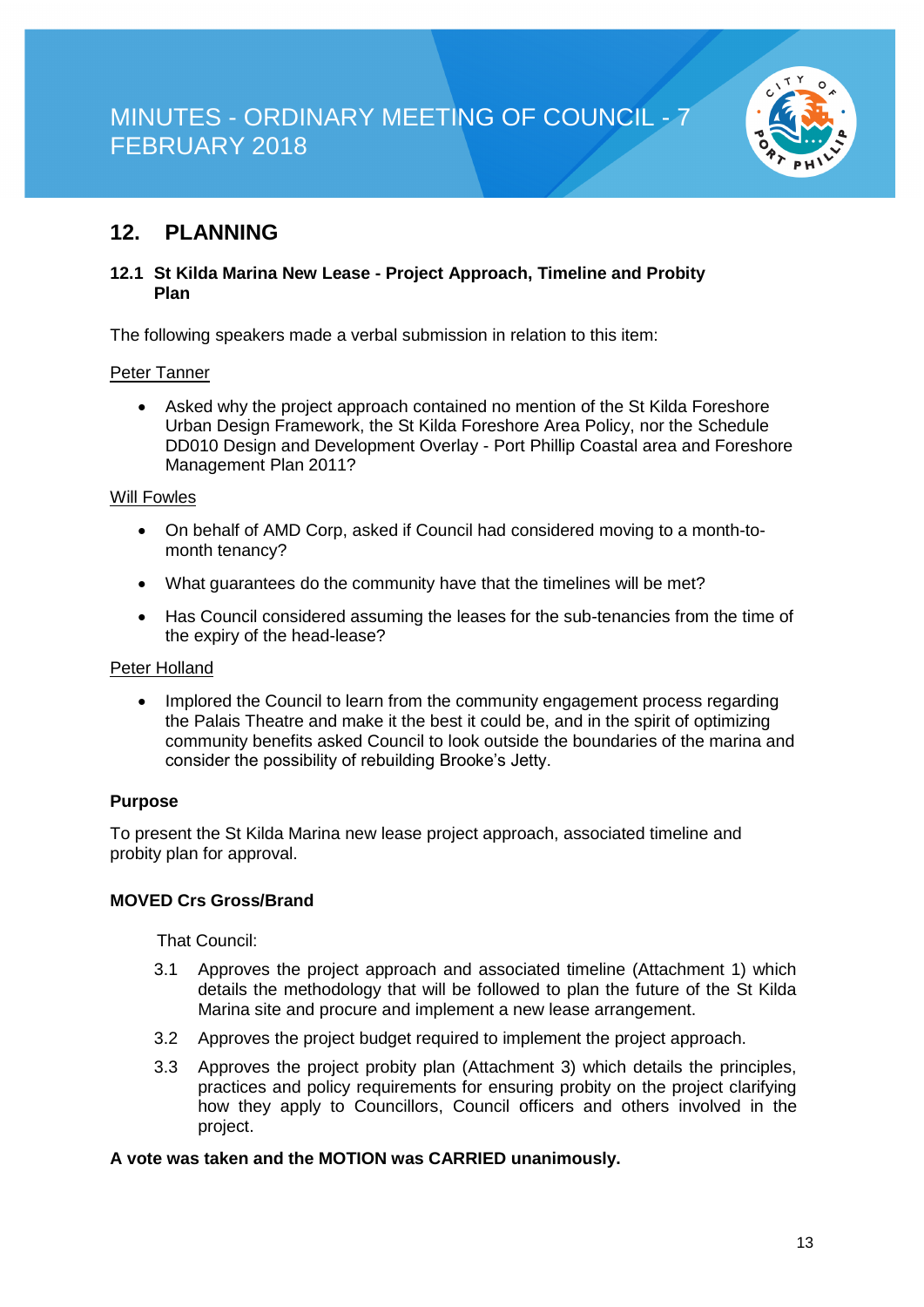

### **12. PLANNING**

#### **12.1 St Kilda Marina New Lease - Project Approach, Timeline and Probity Plan**

The following speakers made a verbal submission in relation to this item:

#### Peter Tanner

• Asked why the project approach contained no mention of the St Kilda Foreshore Urban Design Framework, the St Kilda Foreshore Area Policy, nor the Schedule DD010 Design and Development Overlay - Port Phillip Coastal area and Foreshore Management Plan 2011?

#### Will Fowles

- On behalf of AMD Corp, asked if Council had considered moving to a month-tomonth tenancy?
- What guarantees do the community have that the timelines will be met?
- Has Council considered assuming the leases for the sub-tenancies from the time of the expiry of the head-lease?

#### Peter Holland

• Implored the Council to learn from the community engagement process regarding the Palais Theatre and make it the best it could be, and in the spirit of optimizing community benefits asked Council to look outside the boundaries of the marina and consider the possibility of rebuilding Brooke's Jetty.

#### **Purpose**

To present the St Kilda Marina new lease project approach, associated timeline and probity plan for approval.

#### **MOVED Crs Gross/Brand**

That Council:

- 3.1 Approves the project approach and associated timeline (Attachment 1) which details the methodology that will be followed to plan the future of the St Kilda Marina site and procure and implement a new lease arrangement.
- 3.2 Approves the project budget required to implement the project approach.
- 3.3 Approves the project probity plan (Attachment 3) which details the principles, practices and policy requirements for ensuring probity on the project clarifying how they apply to Councillors, Council officers and others involved in the project.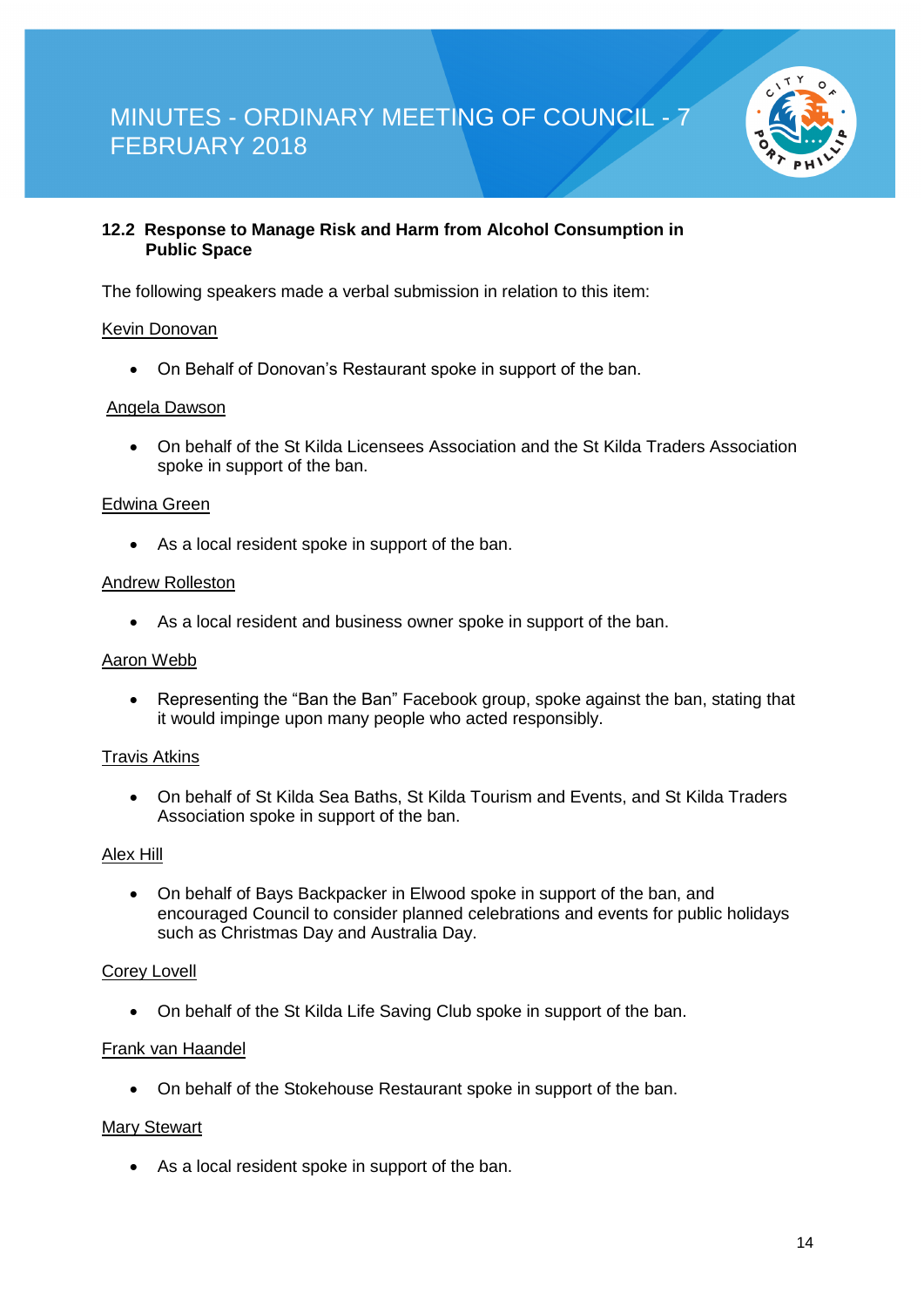

#### **12.2 Response to Manage Risk and Harm from Alcohol Consumption in Public Space**

The following speakers made a verbal submission in relation to this item:

#### Kevin Donovan

• On Behalf of Donovan's Restaurant spoke in support of the ban.

#### Angela Dawson

• On behalf of the St Kilda Licensees Association and the St Kilda Traders Association spoke in support of the ban.

#### Edwina Green

• As a local resident spoke in support of the ban.

#### Andrew Rolleston

• As a local resident and business owner spoke in support of the ban.

#### Aaron Webb

• Representing the "Ban the Ban" Facebook group, spoke against the ban, stating that it would impinge upon many people who acted responsibly.

#### Travis Atkins

• On behalf of St Kilda Sea Baths, St Kilda Tourism and Events, and St Kilda Traders Association spoke in support of the ban.

#### Alex Hill

• On behalf of Bays Backpacker in Elwood spoke in support of the ban, and encouraged Council to consider planned celebrations and events for public holidays such as Christmas Day and Australia Day.

#### Corey Lovell

• On behalf of the St Kilda Life Saving Club spoke in support of the ban.

#### Frank van Haandel

• On behalf of the Stokehouse Restaurant spoke in support of the ban.

#### Mary Stewart

• As a local resident spoke in support of the ban.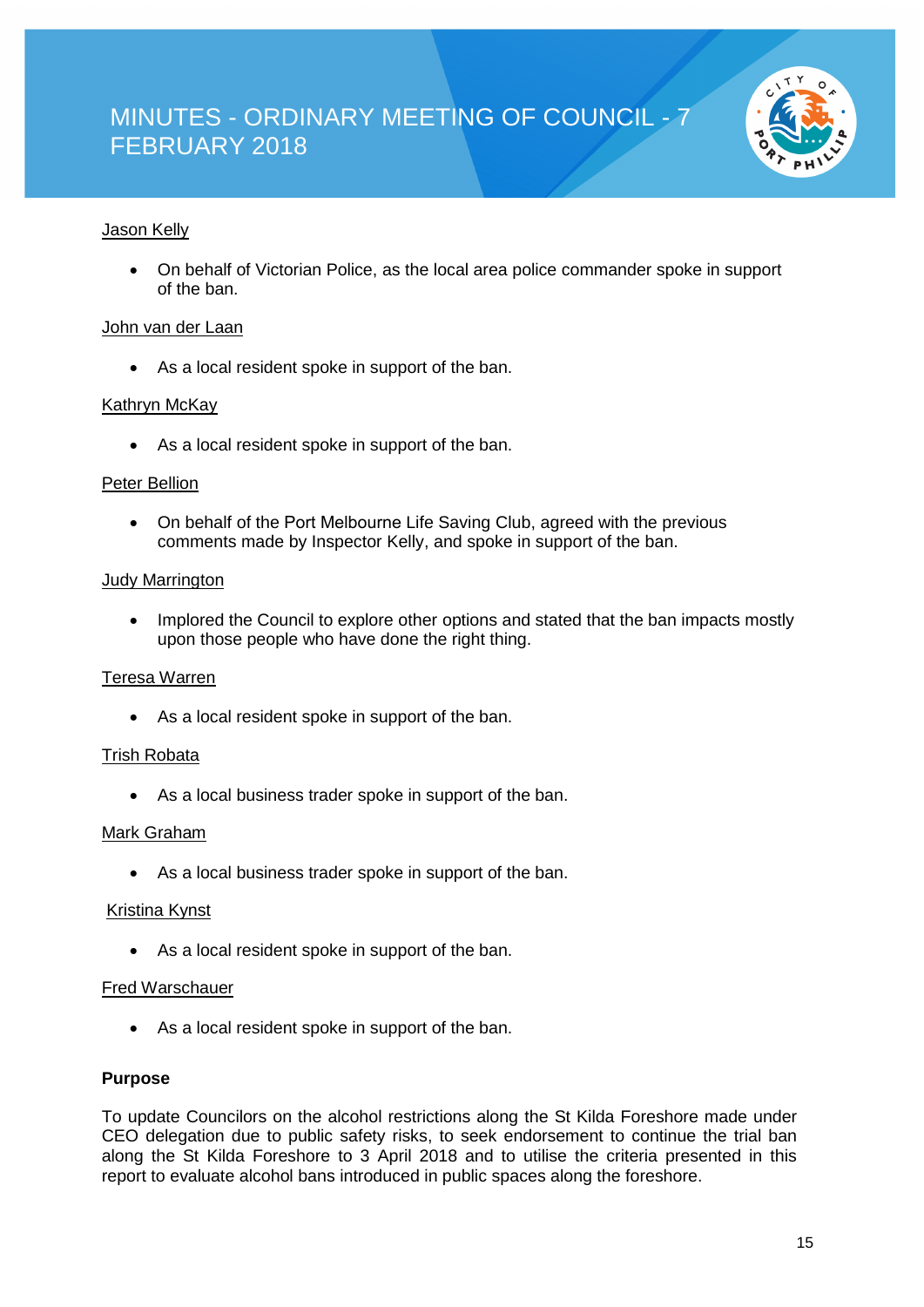

#### Jason Kelly

• On behalf of Victorian Police, as the local area police commander spoke in support of the ban.

#### John van der Laan

• As a local resident spoke in support of the ban.

#### Kathryn McKay

• As a local resident spoke in support of the ban.

#### Peter Bellion

• On behalf of the Port Melbourne Life Saving Club, agreed with the previous comments made by Inspector Kelly, and spoke in support of the ban.

#### Judy Marrington

• Implored the Council to explore other options and stated that the ban impacts mostly upon those people who have done the right thing.

#### Teresa Warren

• As a local resident spoke in support of the ban.

#### Trish Robata

• As a local business trader spoke in support of the ban.

#### Mark Graham

• As a local business trader spoke in support of the ban.

#### Kristina Kynst

• As a local resident spoke in support of the ban.

#### Fred Warschauer

• As a local resident spoke in support of the ban.

#### **Purpose**

To update Councilors on the alcohol restrictions along the St Kilda Foreshore made under CEO delegation due to public safety risks, to seek endorsement to continue the trial ban along the St Kilda Foreshore to 3 April 2018 and to utilise the criteria presented in this report to evaluate alcohol bans introduced in public spaces along the foreshore.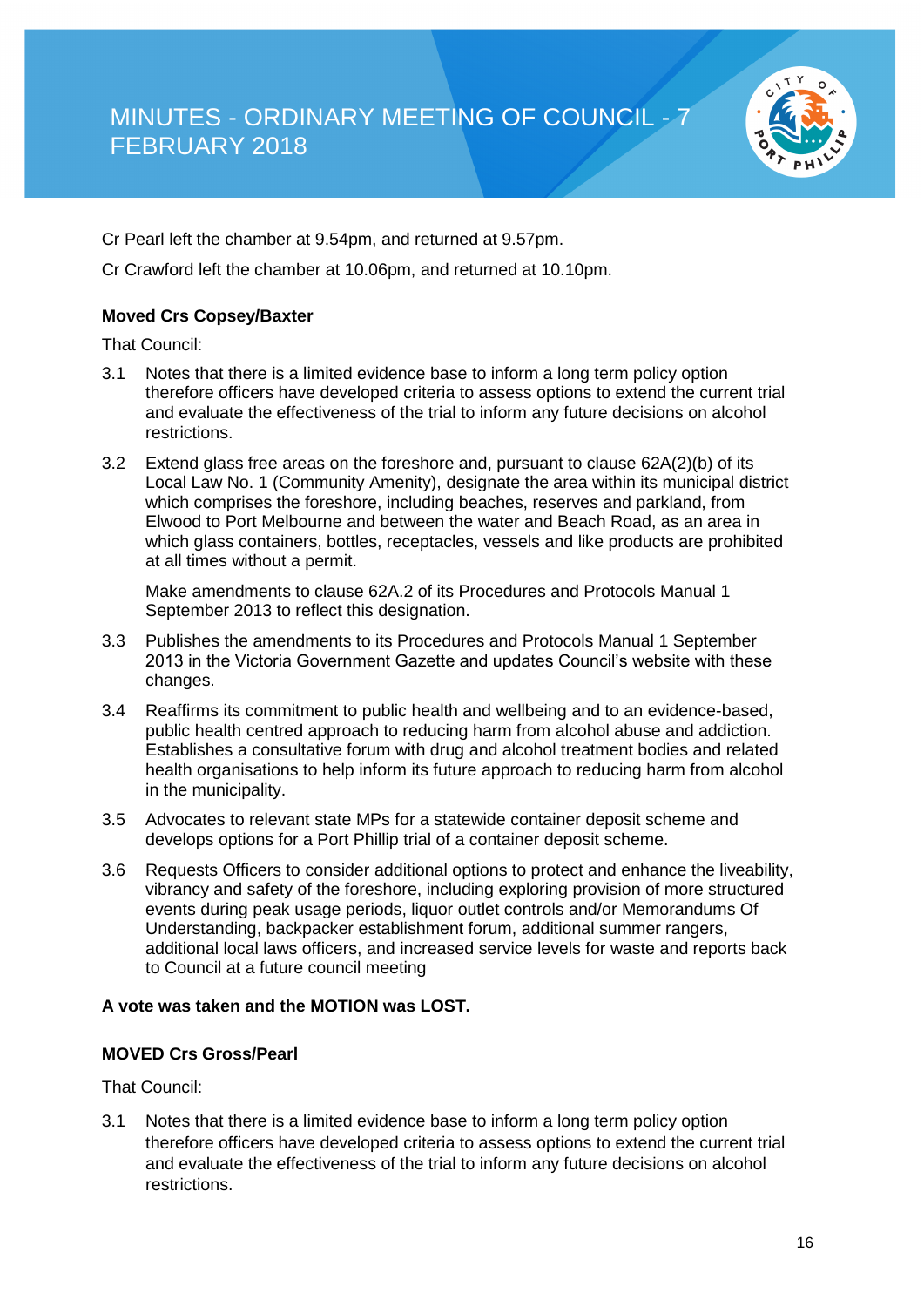

Cr Pearl left the chamber at 9.54pm, and returned at 9.57pm.

Cr Crawford left the chamber at 10.06pm, and returned at 10.10pm.

#### **Moved Crs Copsey/Baxter**

That Council:

- 3.1 Notes that there is a limited evidence base to inform a long term policy option therefore officers have developed criteria to assess options to extend the current trial and evaluate the effectiveness of the trial to inform any future decisions on alcohol restrictions.
- 3.2 Extend glass free areas on the foreshore and, pursuant to clause 62A(2)(b) of its Local Law No. 1 (Community Amenity), designate the area within its municipal district which comprises the foreshore, including beaches, reserves and parkland, from Elwood to Port Melbourne and between the water and Beach Road, as an area in which glass containers, bottles, receptacles, vessels and like products are prohibited at all times without a permit.

Make amendments to clause 62A.2 of its Procedures and Protocols Manual 1 September 2013 to reflect this designation.

- 3.3 Publishes the amendments to its Procedures and Protocols Manual 1 September 2013 in the Victoria Government Gazette and updates Council's website with these changes.
- 3.4 Reaffirms its commitment to public health and wellbeing and to an evidence-based, public health centred approach to reducing harm from alcohol abuse and addiction. Establishes a consultative forum with drug and alcohol treatment bodies and related health organisations to help inform its future approach to reducing harm from alcohol in the municipality.
- 3.5 Advocates to relevant state MPs for a statewide container deposit scheme and develops options for a Port Phillip trial of a container deposit scheme.
- 3.6 Requests Officers to consider additional options to protect and enhance the liveability, vibrancy and safety of the foreshore, including exploring provision of more structured events during peak usage periods, liquor outlet controls and/or Memorandums Of Understanding, backpacker establishment forum, additional summer rangers, additional local laws officers, and increased service levels for waste and reports back to Council at a future council meeting

#### **A vote was taken and the MOTION was LOST.**

#### **MOVED Crs Gross/Pearl**

That Council:

3.1 Notes that there is a limited evidence base to inform a long term policy option therefore officers have developed criteria to assess options to extend the current trial and evaluate the effectiveness of the trial to inform any future decisions on alcohol restrictions.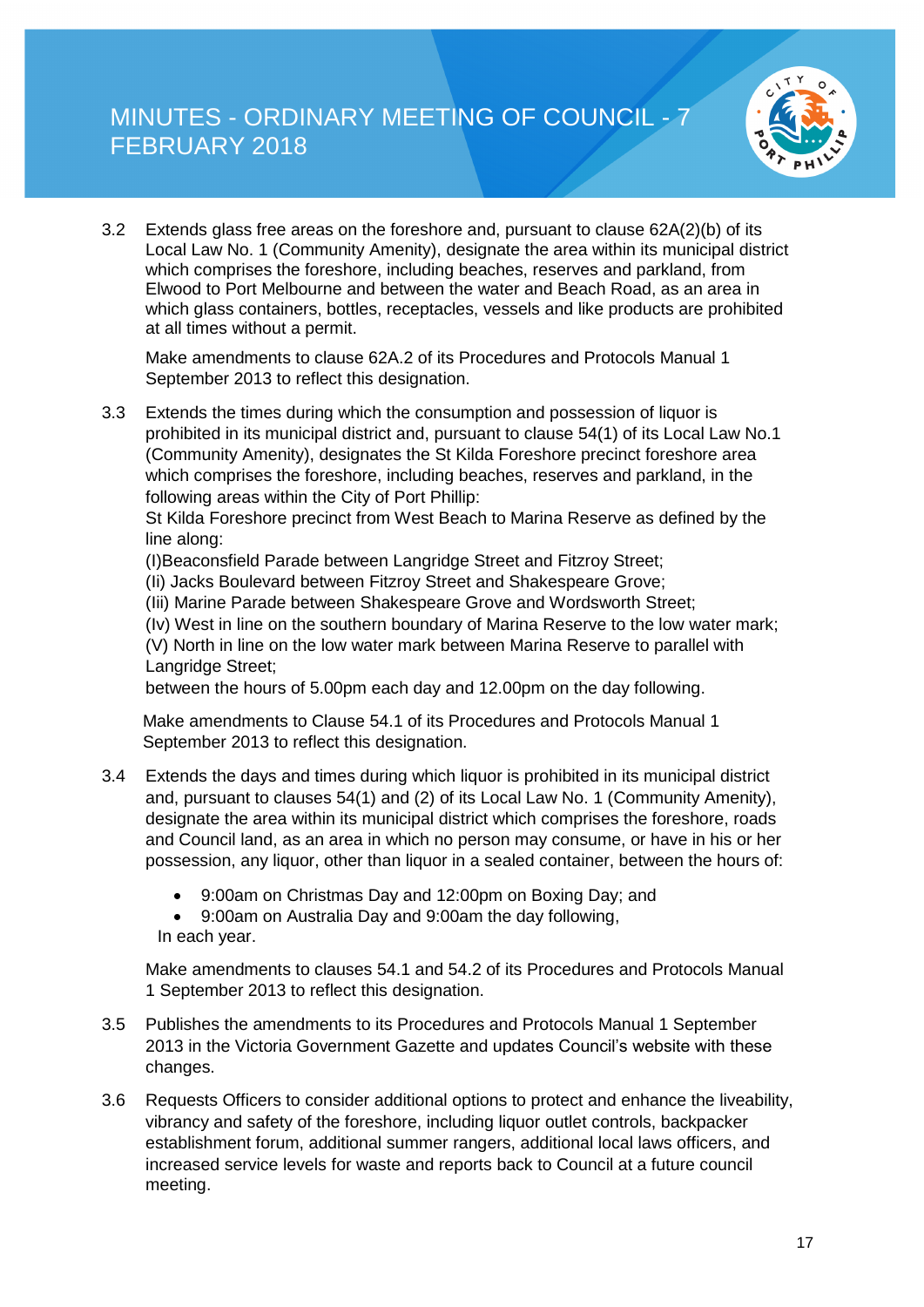

3.2 Extends glass free areas on the foreshore and, pursuant to clause 62A(2)(b) of its Local Law No. 1 (Community Amenity), designate the area within its municipal district which comprises the foreshore, including beaches, reserves and parkland, from Elwood to Port Melbourne and between the water and Beach Road, as an area in which glass containers, bottles, receptacles, vessels and like products are prohibited at all times without a permit.

Make amendments to clause 62A.2 of its Procedures and Protocols Manual 1 September 2013 to reflect this designation.

3.3 Extends the times during which the consumption and possession of liquor is prohibited in its municipal district and, pursuant to clause 54(1) of its Local Law No.1 (Community Amenity), designates the St Kilda Foreshore precinct foreshore area which comprises the foreshore, including beaches, reserves and parkland, in the following areas within the City of Port Phillip:

St Kilda Foreshore precinct from West Beach to Marina Reserve as defined by the line along:

(I)Beaconsfield Parade between Langridge Street and Fitzroy Street;

(Ii) Jacks Boulevard between Fitzroy Street and Shakespeare Grove;

(Iii) Marine Parade between Shakespeare Grove and Wordsworth Street;

(Iv) West in line on the southern boundary of Marina Reserve to the low water mark;

(V) North in line on the low water mark between Marina Reserve to parallel with Langridge Street;

between the hours of 5.00pm each day and 12.00pm on the day following.

Make amendments to Clause 54.1 of its Procedures and Protocols Manual 1 September 2013 to reflect this designation.

- 3.4 Extends the days and times during which liquor is prohibited in its municipal district and, pursuant to clauses 54(1) and (2) of its Local Law No. 1 (Community Amenity), designate the area within its municipal district which comprises the foreshore, roads and Council land, as an area in which no person may consume, or have in his or her possession, any liquor, other than liquor in a sealed container, between the hours of:
	- 9:00am on Christmas Day and 12:00pm on Boxing Day; and
	- 9:00am on Australia Day and 9:00am the day following, In each year.

Make amendments to clauses 54.1 and 54.2 of its Procedures and Protocols Manual 1 September 2013 to reflect this designation.

- 3.5 Publishes the amendments to its Procedures and Protocols Manual 1 September 2013 in the Victoria Government Gazette and updates Council's website with these changes.
- 3.6 Requests Officers to consider additional options to protect and enhance the liveability, vibrancy and safety of the foreshore, including liquor outlet controls, backpacker establishment forum, additional summer rangers, additional local laws officers, and increased service levels for waste and reports back to Council at a future council meeting.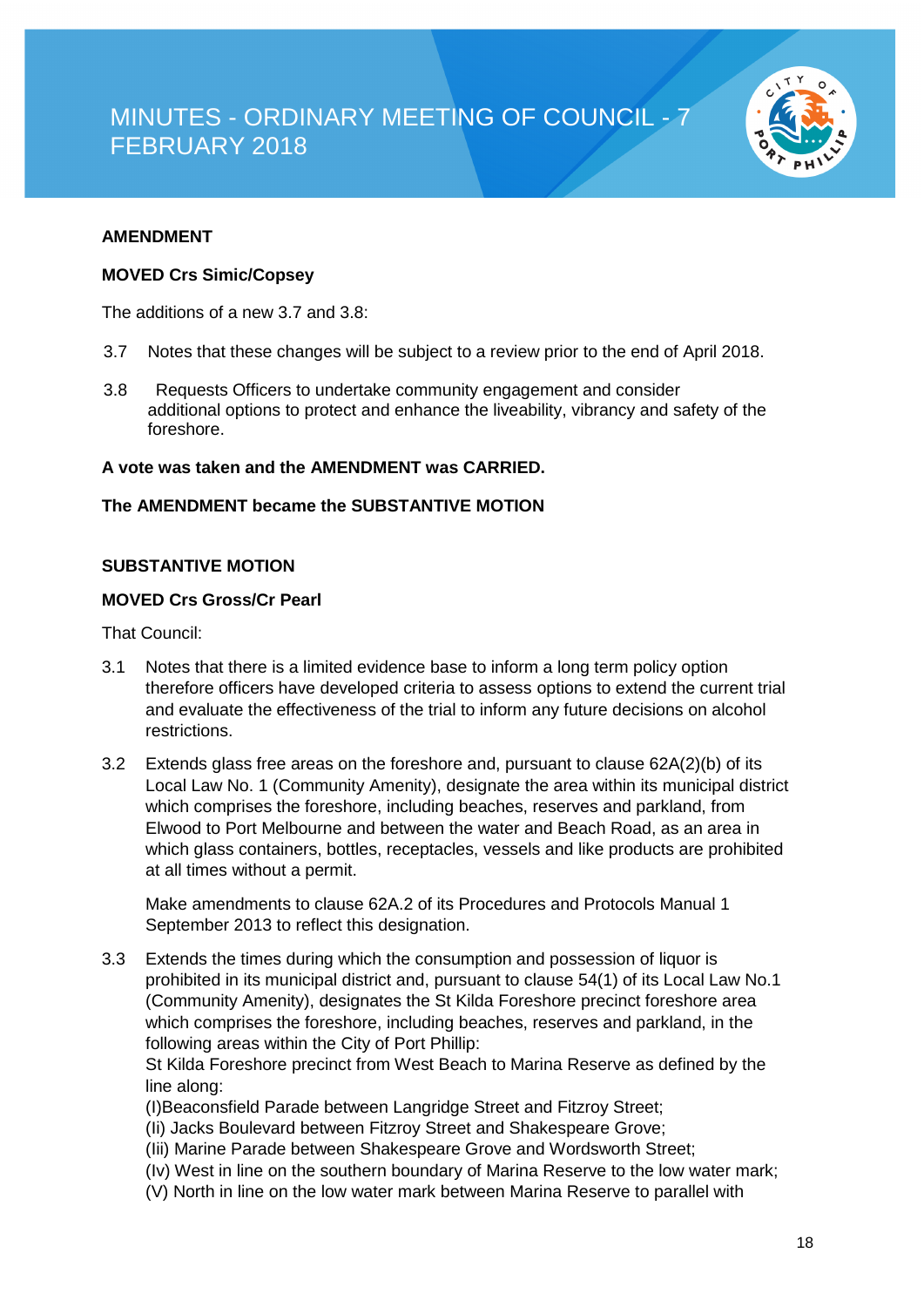

#### **AMENDMENT**

#### **MOVED Crs Simic/Copsey**

The additions of a new 3.7 and 3.8:

- 3.7 Notes that these changes will be subject to a review prior to the end of April 2018.
- 3.8 Requests Officers to undertake community engagement and consider additional options to protect and enhance the liveability, vibrancy and safety of the foreshore.

#### **A vote was taken and the AMENDMENT was CARRIED.**

#### **The AMENDMENT became the SUBSTANTIVE MOTION**

#### **SUBSTANTIVE MOTION**

#### **MOVED Crs Gross/Cr Pearl**

That Council:

- 3.1 Notes that there is a limited evidence base to inform a long term policy option therefore officers have developed criteria to assess options to extend the current trial and evaluate the effectiveness of the trial to inform any future decisions on alcohol restrictions.
- 3.2 Extends glass free areas on the foreshore and, pursuant to clause 62A(2)(b) of its Local Law No. 1 (Community Amenity), designate the area within its municipal district which comprises the foreshore, including beaches, reserves and parkland, from Elwood to Port Melbourne and between the water and Beach Road, as an area in which glass containers, bottles, receptacles, vessels and like products are prohibited at all times without a permit.

Make amendments to clause 62A.2 of its Procedures and Protocols Manual 1 September 2013 to reflect this designation.

3.3 Extends the times during which the consumption and possession of liquor is prohibited in its municipal district and, pursuant to clause 54(1) of its Local Law No.1 (Community Amenity), designates the St Kilda Foreshore precinct foreshore area which comprises the foreshore, including beaches, reserves and parkland, in the following areas within the City of Port Phillip:

St Kilda Foreshore precinct from West Beach to Marina Reserve as defined by the line along:

(I)Beaconsfield Parade between Langridge Street and Fitzroy Street;

- (Ii) Jacks Boulevard between Fitzroy Street and Shakespeare Grove;
- (Iii) Marine Parade between Shakespeare Grove and Wordsworth Street;
- (Iv) West in line on the southern boundary of Marina Reserve to the low water mark;
- (V) North in line on the low water mark between Marina Reserve to parallel with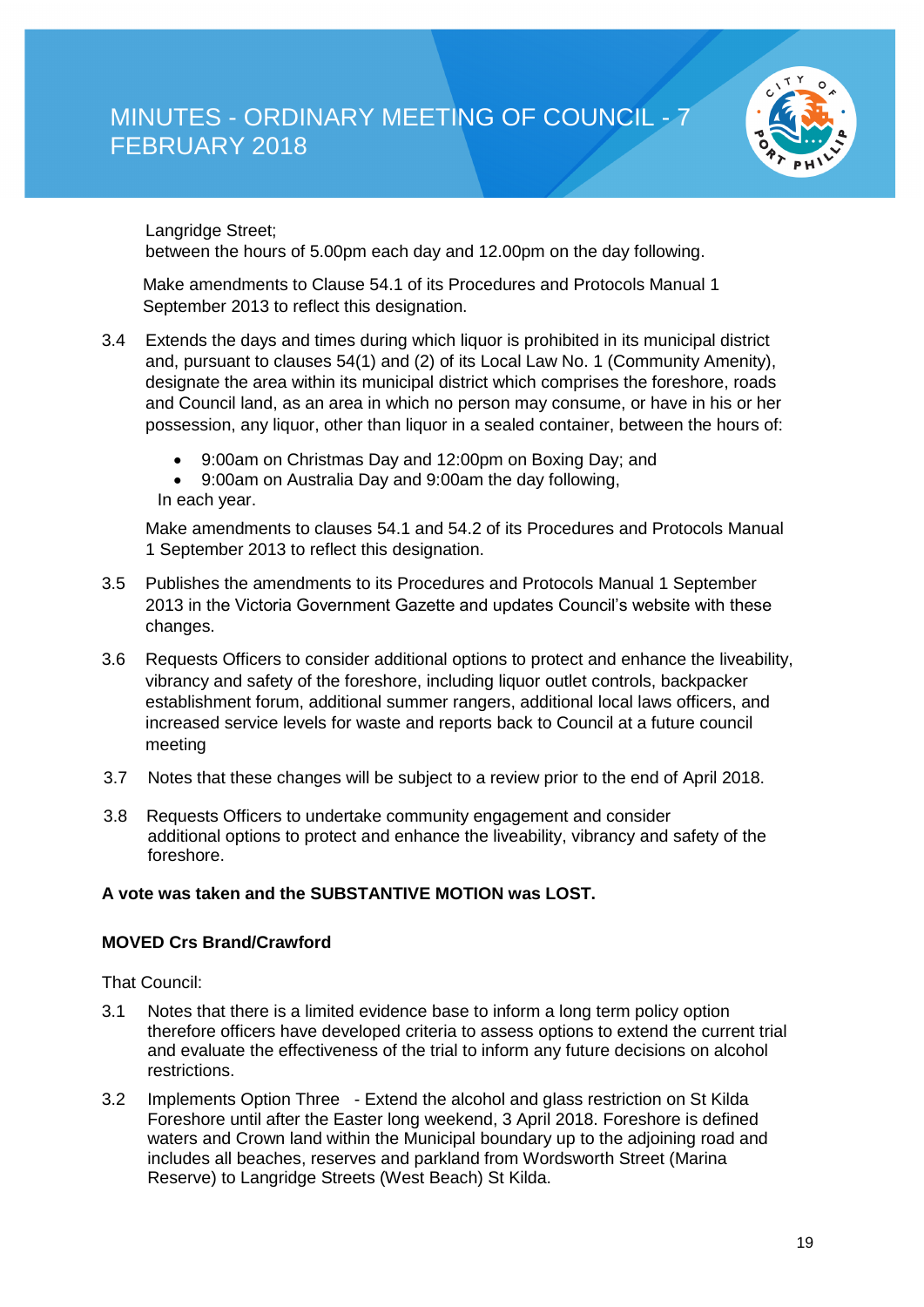

Langridge Street;

between the hours of 5.00pm each day and 12.00pm on the day following.

Make amendments to Clause 54.1 of its Procedures and Protocols Manual 1 September 2013 to reflect this designation.

- 3.4 Extends the days and times during which liquor is prohibited in its municipal district and, pursuant to clauses 54(1) and (2) of its Local Law No. 1 (Community Amenity), designate the area within its municipal district which comprises the foreshore, roads and Council land, as an area in which no person may consume, or have in his or her possession, any liquor, other than liquor in a sealed container, between the hours of:
	- 9:00am on Christmas Day and 12:00pm on Boxing Day; and
	- 9:00am on Australia Day and 9:00am the day following, In each year.

Make amendments to clauses 54.1 and 54.2 of its Procedures and Protocols Manual 1 September 2013 to reflect this designation.

- 3.5 Publishes the amendments to its Procedures and Protocols Manual 1 September 2013 in the Victoria Government Gazette and updates Council's website with these changes.
- 3.6 Requests Officers to consider additional options to protect and enhance the liveability, vibrancy and safety of the foreshore, including liquor outlet controls, backpacker establishment forum, additional summer rangers, additional local laws officers, and increased service levels for waste and reports back to Council at a future council meeting
- 3.7 Notes that these changes will be subject to a review prior to the end of April 2018.
- 3.8 Requests Officers to undertake community engagement and consider additional options to protect and enhance the liveability, vibrancy and safety of the foreshore.

#### **A vote was taken and the SUBSTANTIVE MOTION was LOST.**

#### **MOVED Crs Brand/Crawford**

That Council:

- 3.1 Notes that there is a limited evidence base to inform a long term policy option therefore officers have developed criteria to assess options to extend the current trial and evaluate the effectiveness of the trial to inform any future decisions on alcohol restrictions.
- 3.2 Implements Option Three Extend the alcohol and glass restriction on St Kilda Foreshore until after the Easter long weekend, 3 April 2018. Foreshore is defined waters and Crown land within the Municipal boundary up to the adjoining road and includes all beaches, reserves and parkland from Wordsworth Street (Marina Reserve) to Langridge Streets (West Beach) St Kilda.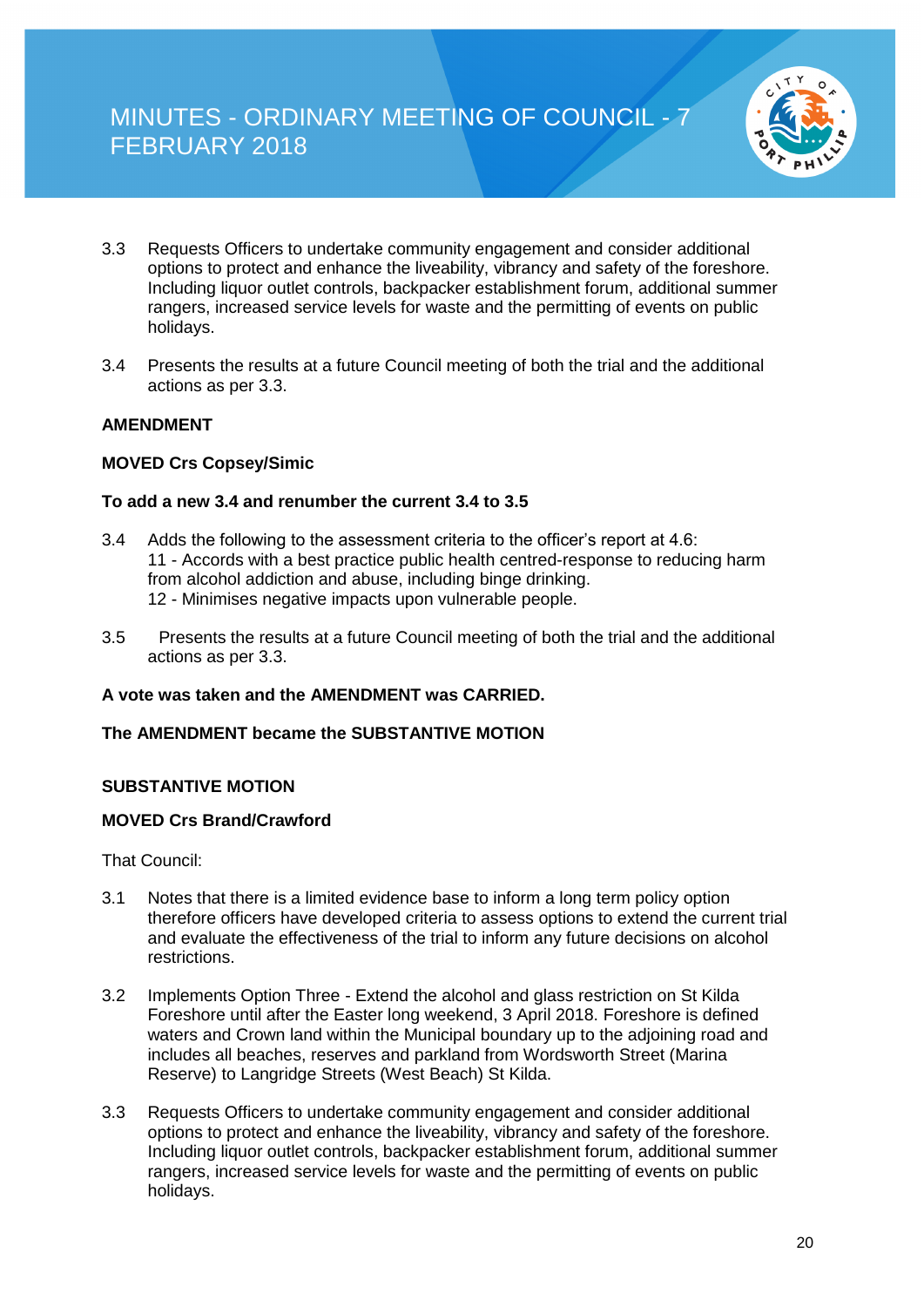

- 3.3 Requests Officers to undertake community engagement and consider additional options to protect and enhance the liveability, vibrancy and safety of the foreshore. Including liquor outlet controls, backpacker establishment forum, additional summer rangers, increased service levels for waste and the permitting of events on public holidays.
- 3.4 Presents the results at a future Council meeting of both the trial and the additional actions as per 3.3.

#### **AMENDMENT**

#### **MOVED Crs Copsey/Simic**

#### **To add a new 3.4 and renumber the current 3.4 to 3.5**

- 3.4 Adds the following to the assessment criteria to the officer's report at 4.6: 11 - Accords with a best practice public health centred-response to reducing harm from alcohol addiction and abuse, including binge drinking. 12 - Minimises negative impacts upon vulnerable people.
- 3.5 Presents the results at a future Council meeting of both the trial and the additional actions as per 3.3.

#### **A vote was taken and the AMENDMENT was CARRIED.**

#### **The AMENDMENT became the SUBSTANTIVE MOTION**

#### **SUBSTANTIVE MOTION**

#### **MOVED Crs Brand/Crawford**

That Council:

- 3.1 Notes that there is a limited evidence base to inform a long term policy option therefore officers have developed criteria to assess options to extend the current trial and evaluate the effectiveness of the trial to inform any future decisions on alcohol restrictions.
- 3.2 Implements Option Three Extend the alcohol and glass restriction on St Kilda Foreshore until after the Easter long weekend, 3 April 2018. Foreshore is defined waters and Crown land within the Municipal boundary up to the adjoining road and includes all beaches, reserves and parkland from Wordsworth Street (Marina Reserve) to Langridge Streets (West Beach) St Kilda.
- 3.3 Requests Officers to undertake community engagement and consider additional options to protect and enhance the liveability, vibrancy and safety of the foreshore. Including liquor outlet controls, backpacker establishment forum, additional summer rangers, increased service levels for waste and the permitting of events on public holidays.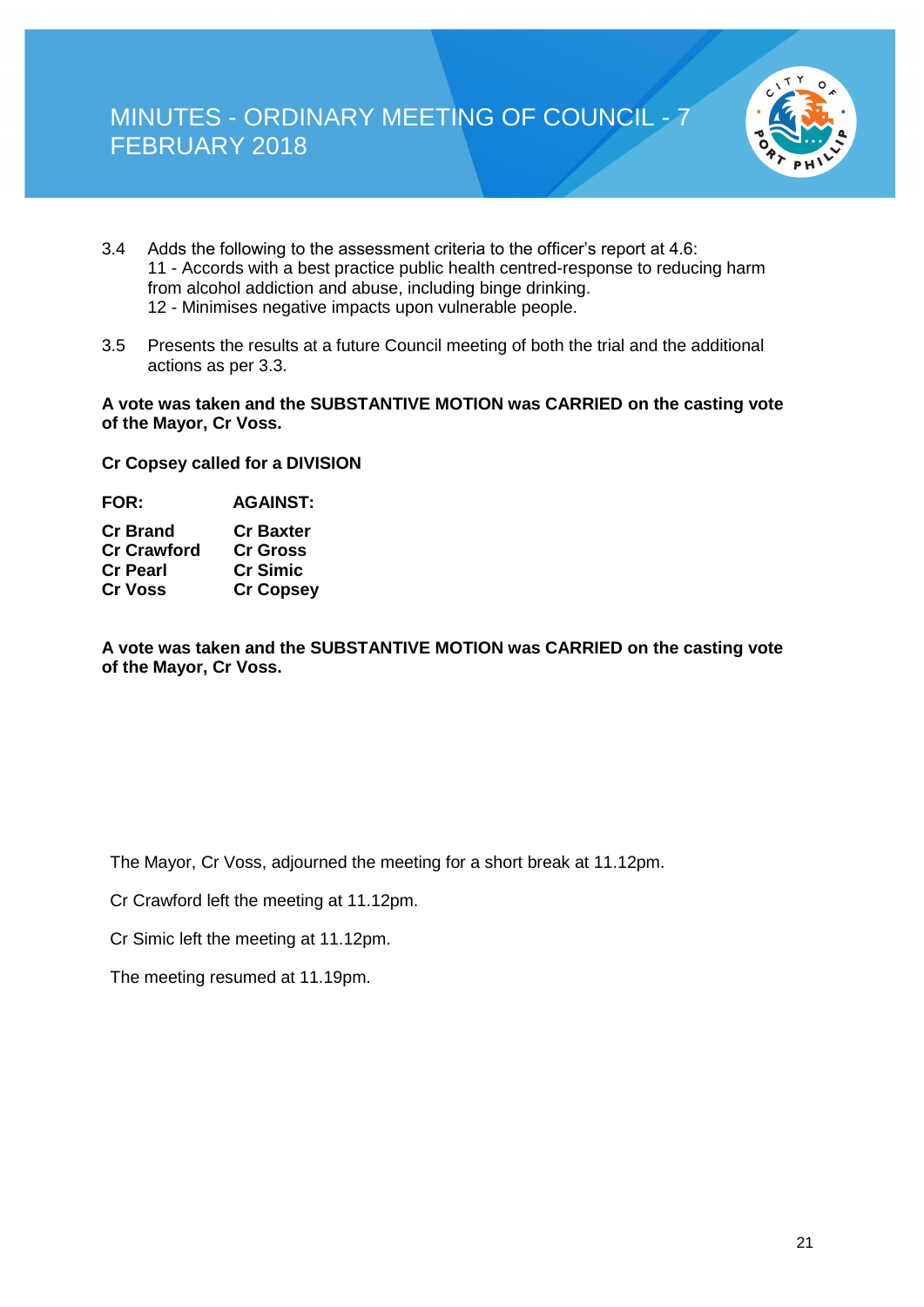

- 3.4 Adds the following to the assessment criteria to the officer's report at 4.6: 11 - Accords with a best practice public health centred-response to reducing harm from alcohol addiction and abuse, including binge drinking. 12 - Minimises negative impacts upon vulnerable people.
- 3.5 Presents the results at a future Council meeting of both the trial and the additional actions as per 3.3.

#### **A vote was taken and the SUBSTANTIVE MOTION was CARRIED on the casting vote of the Mayor, Cr Voss.**

**Cr Copsey called for a DIVISION** 

| <b>FOR:</b>        | <b>AGAINST:</b>  |
|--------------------|------------------|
| <b>Cr Brand</b>    | <b>Cr Baxter</b> |
| <b>Cr Crawford</b> | <b>Cr Gross</b>  |
| <b>Cr Pearl</b>    | <b>Cr Simic</b>  |
| <b>Cr Voss</b>     | <b>Cr Copsey</b> |
|                    |                  |

**A vote was taken and the SUBSTANTIVE MOTION was CARRIED on the casting vote of the Mayor, Cr Voss.**

The Mayor, Cr Voss, adjourned the meeting for a short break at 11.12pm.

Cr Crawford left the meeting at 11.12pm.

Cr Simic left the meeting at 11.12pm.

The meeting resumed at 11.19pm.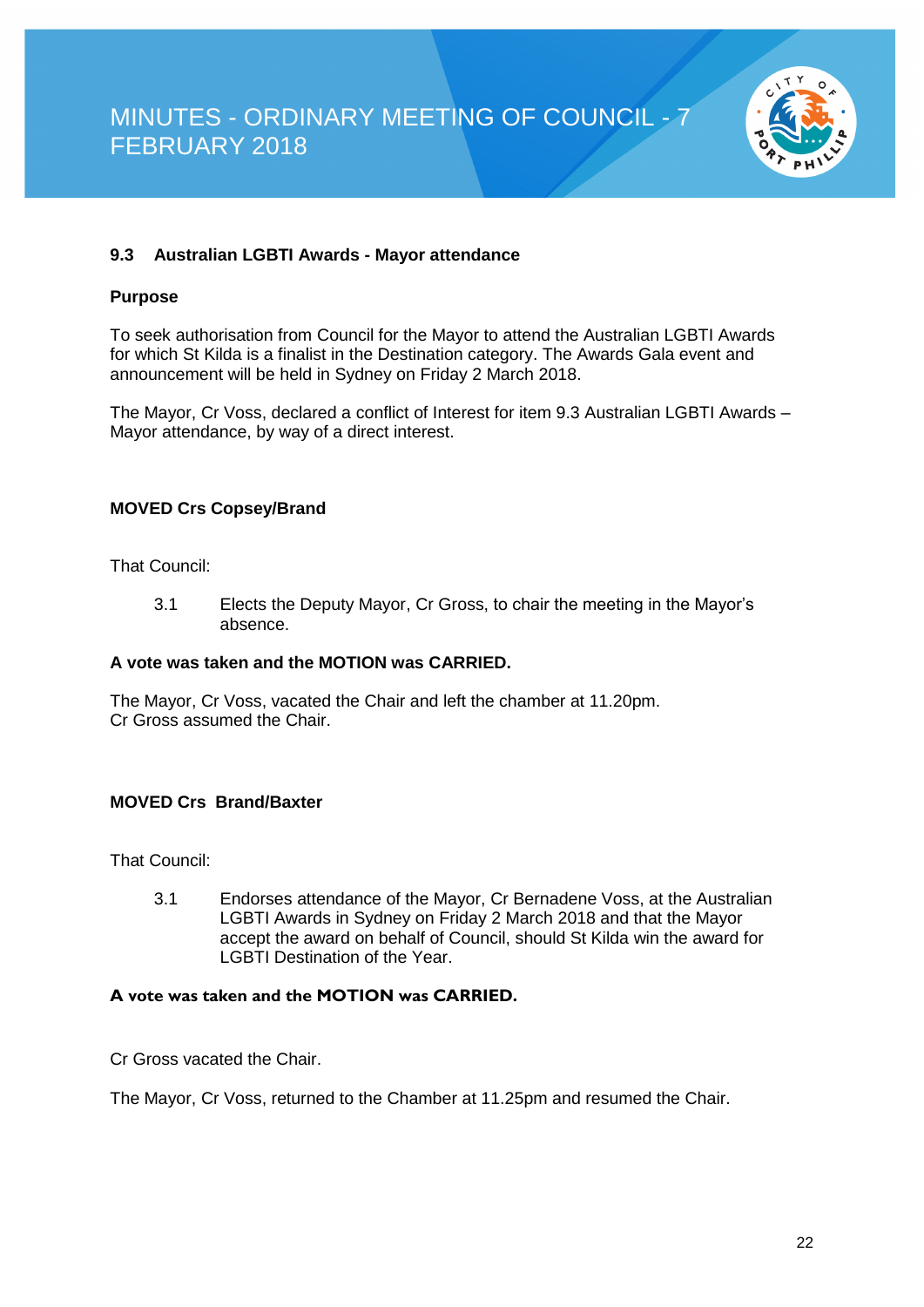

#### **9.3 Australian LGBTI Awards - Mayor attendance**

#### **Purpose**

To seek authorisation from Council for the Mayor to attend the Australian LGBTI Awards for which St Kilda is a finalist in the Destination category. The Awards Gala event and announcement will be held in Sydney on Friday 2 March 2018.

The Mayor, Cr Voss, declared a conflict of Interest for item 9.3 Australian LGBTI Awards – Mayor attendance, by way of a direct interest.

#### **MOVED Crs Copsey/Brand**

That Council:

3.1 Elects the Deputy Mayor, Cr Gross, to chair the meeting in the Mayor's absence.

#### **A vote was taken and the MOTION was CARRIED.**

The Mayor, Cr Voss, vacated the Chair and left the chamber at 11.20pm. Cr Gross assumed the Chair.

#### **MOVED Crs Brand/Baxter**

That Council:

3.1 Endorses attendance of the Mayor, Cr Bernadene Voss, at the Australian LGBTI Awards in Sydney on Friday 2 March 2018 and that the Mayor accept the award on behalf of Council, should St Kilda win the award for LGBTI Destination of the Year.

#### **A vote was taken and the MOTION was CARRIED.**

Cr Gross vacated the Chair.

The Mayor, Cr Voss, returned to the Chamber at 11.25pm and resumed the Chair.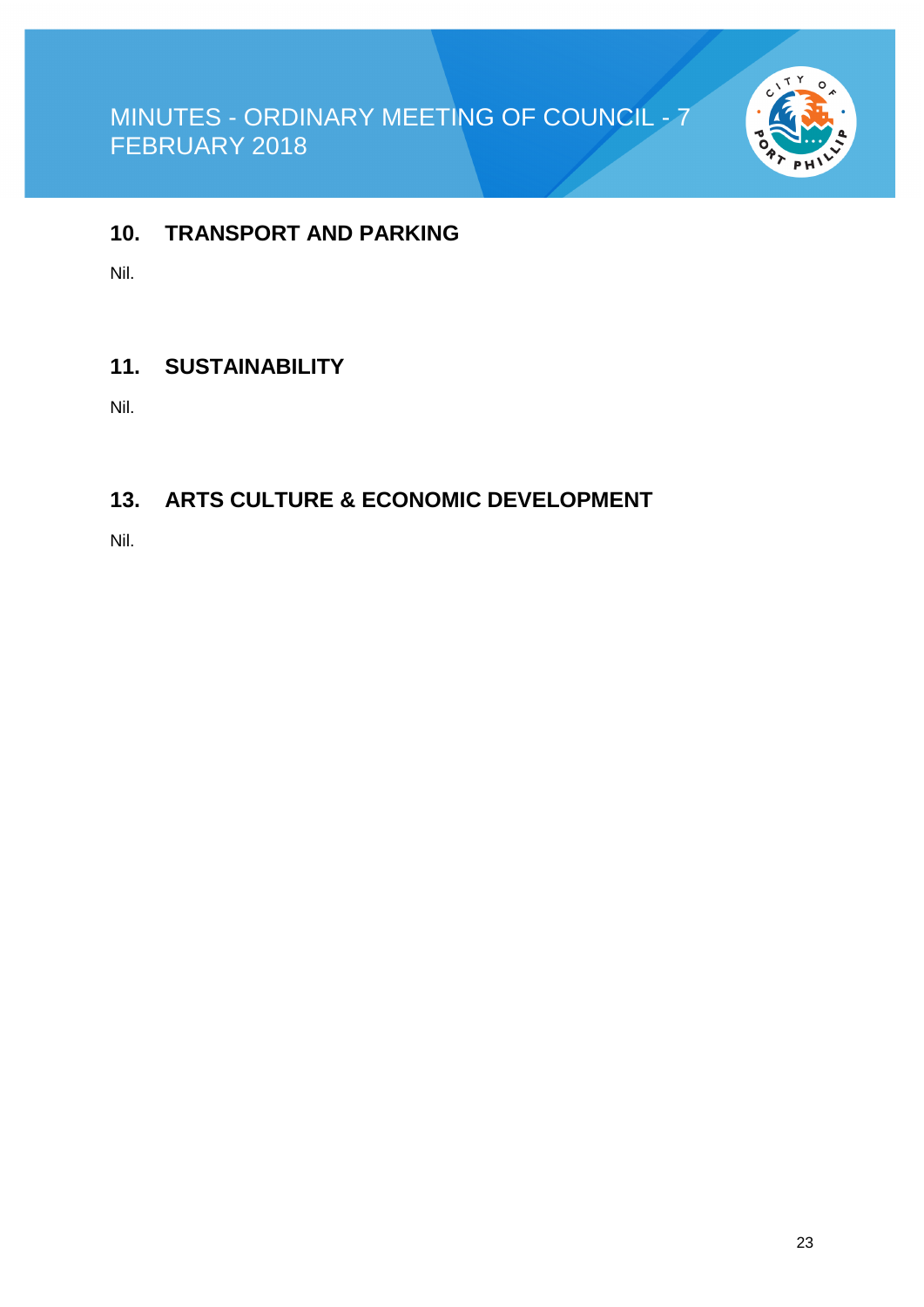

### **10. TRANSPORT AND PARKING**

Nil.

### **11. SUSTAINABILITY**

Nil.

### **13. ARTS CULTURE & ECONOMIC DEVELOPMENT**

Nil.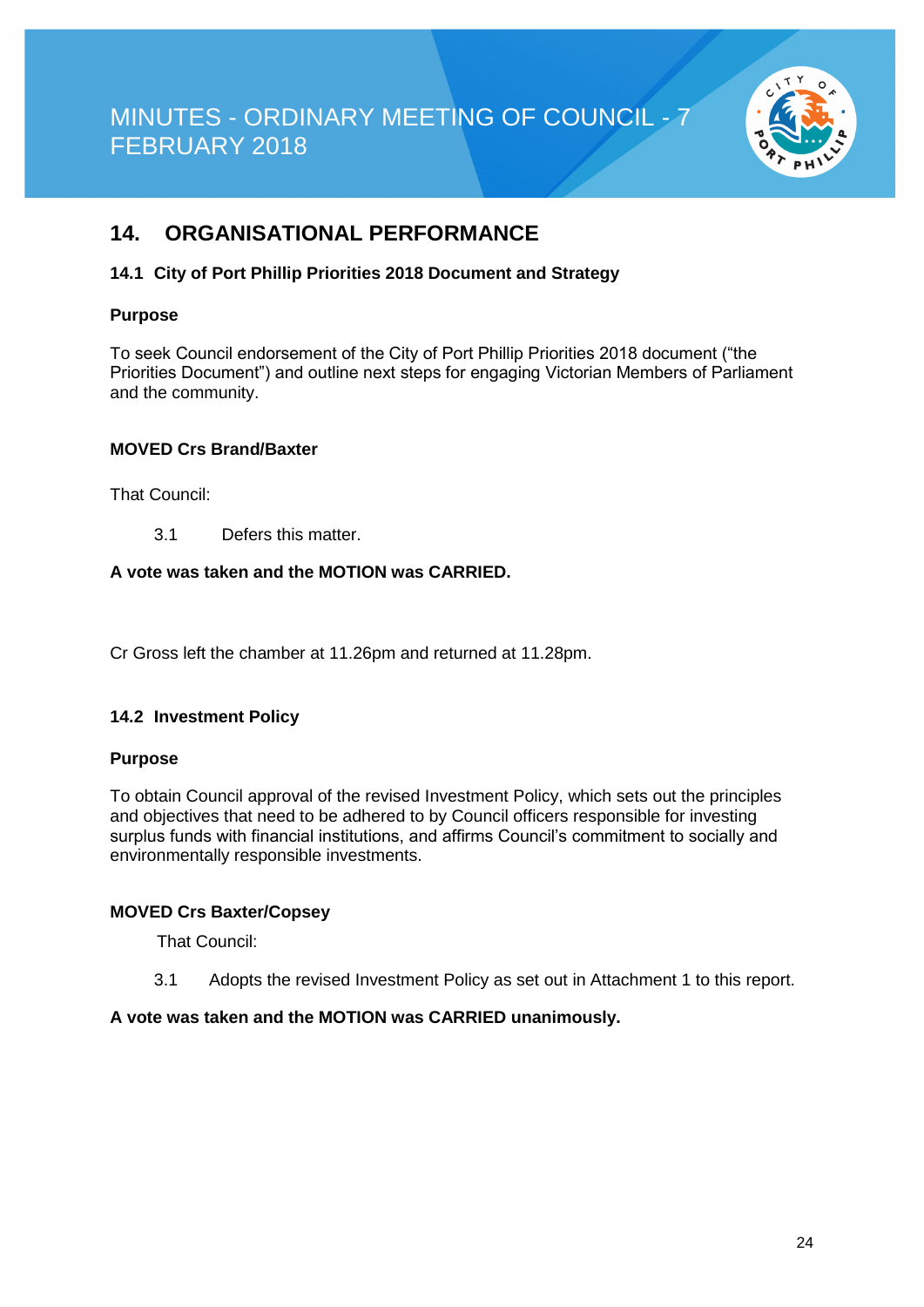

### **14. ORGANISATIONAL PERFORMANCE**

#### **14.1 City of Port Phillip Priorities 2018 Document and Strategy**

#### **Purpose**

To seek Council endorsement of the City of Port Phillip Priorities 2018 document ("the Priorities Document") and outline next steps for engaging Victorian Members of Parliament and the community.

#### **MOVED Crs Brand/Baxter**

That Council:

3.1 Defers this matter.

#### **A vote was taken and the MOTION was CARRIED.**

Cr Gross left the chamber at 11.26pm and returned at 11.28pm.

#### **14.2 Investment Policy**

#### **Purpose**

To obtain Council approval of the revised Investment Policy, which sets out the principles and objectives that need to be adhered to by Council officers responsible for investing surplus funds with financial institutions, and affirms Council's commitment to socially and environmentally responsible investments.

#### **MOVED Crs Baxter/Copsey**

That Council:

3.1 Adopts the revised Investment Policy as set out in Attachment 1 to this report.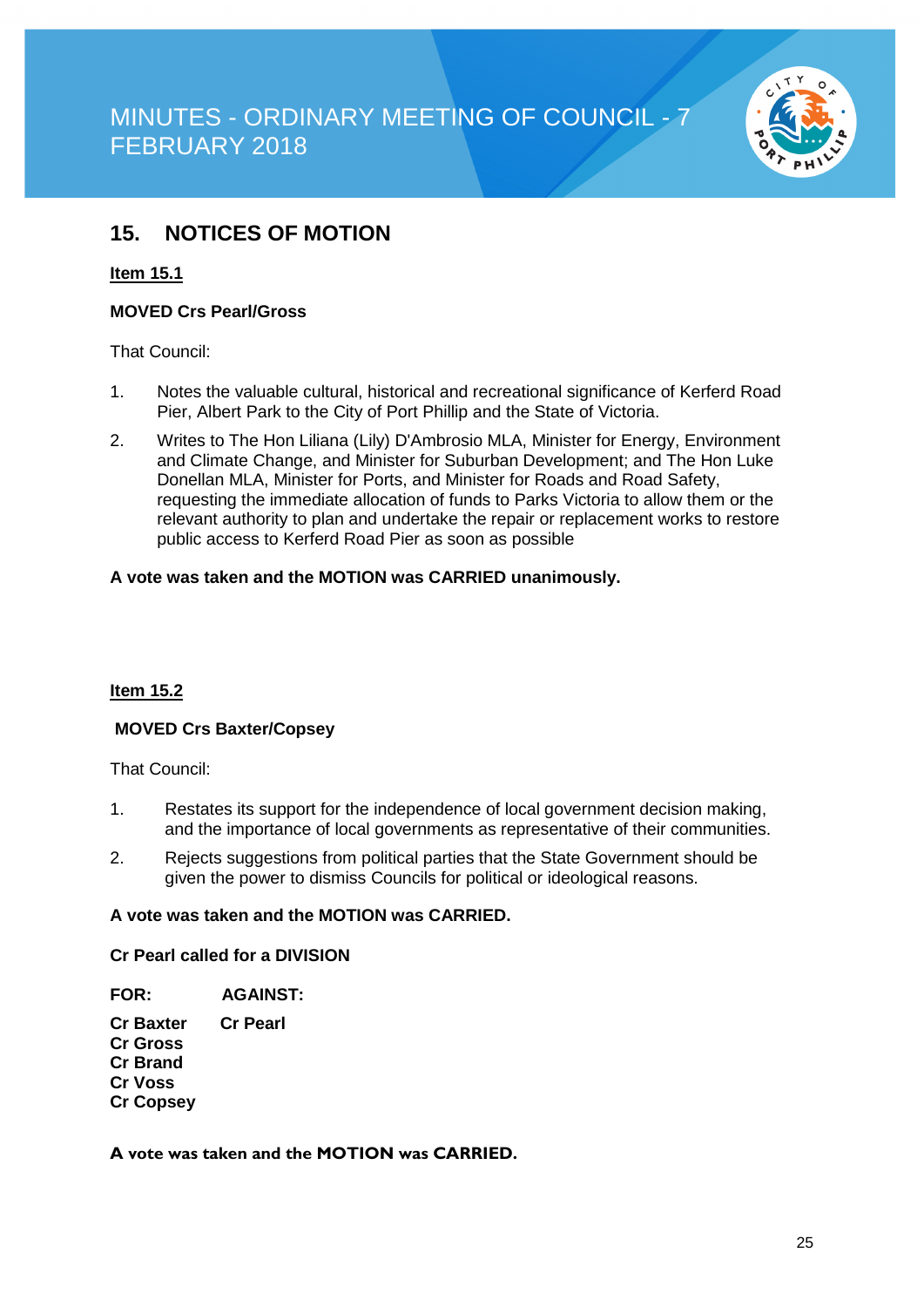

### **15. NOTICES OF MOTION**

#### **Item 15.1**

#### **MOVED Crs Pearl/Gross**

That Council:

- 1. Notes the valuable cultural, historical and recreational significance of Kerferd Road Pier, Albert Park to the City of Port Phillip and the State of Victoria.
- 2. Writes to The Hon Liliana (Lily) D'Ambrosio MLA, Minister for Energy, Environment and Climate Change, and Minister for Suburban Development; and The Hon Luke Donellan MLA, Minister for Ports, and Minister for Roads and Road Safety, requesting the immediate allocation of funds to Parks Victoria to allow them or the relevant authority to plan and undertake the repair or replacement works to restore public access to Kerferd Road Pier as soon as possible

#### **A vote was taken and the MOTION was CARRIED unanimously.**

#### **Item 15.2**

#### **MOVED Crs Baxter/Copsey**

That Council:

- 1. Restates its support for the independence of local government decision making, and the importance of local governments as representative of their communities.
- 2. Rejects suggestions from political parties that the State Government should be given the power to dismiss Councils for political or ideological reasons.

#### **A vote was taken and the MOTION was CARRIED.**

#### **Cr Pearl called for a DIVISION**

#### **FOR: AGAINST:**

**Cr Baxter Cr Pearl Cr Gross Cr Brand Cr Voss Cr Copsey**

#### **A vote was taken and the MOTION was CARRIED.**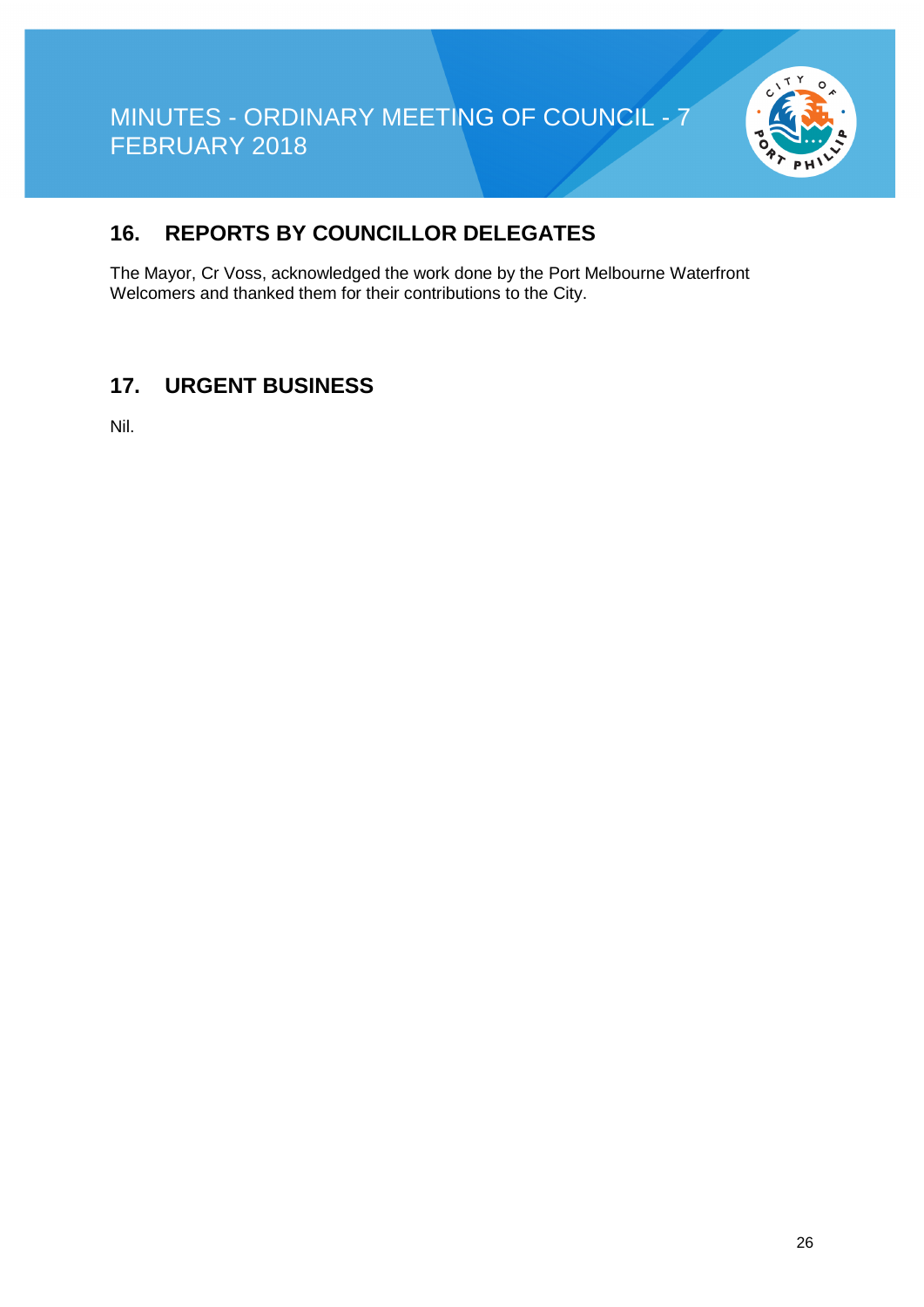

### **16. REPORTS BY COUNCILLOR DELEGATES**

The Mayor, Cr Voss, acknowledged the work done by the Port Melbourne Waterfront Welcomers and thanked them for their contributions to the City.

### **17. URGENT BUSINESS**

Nil.